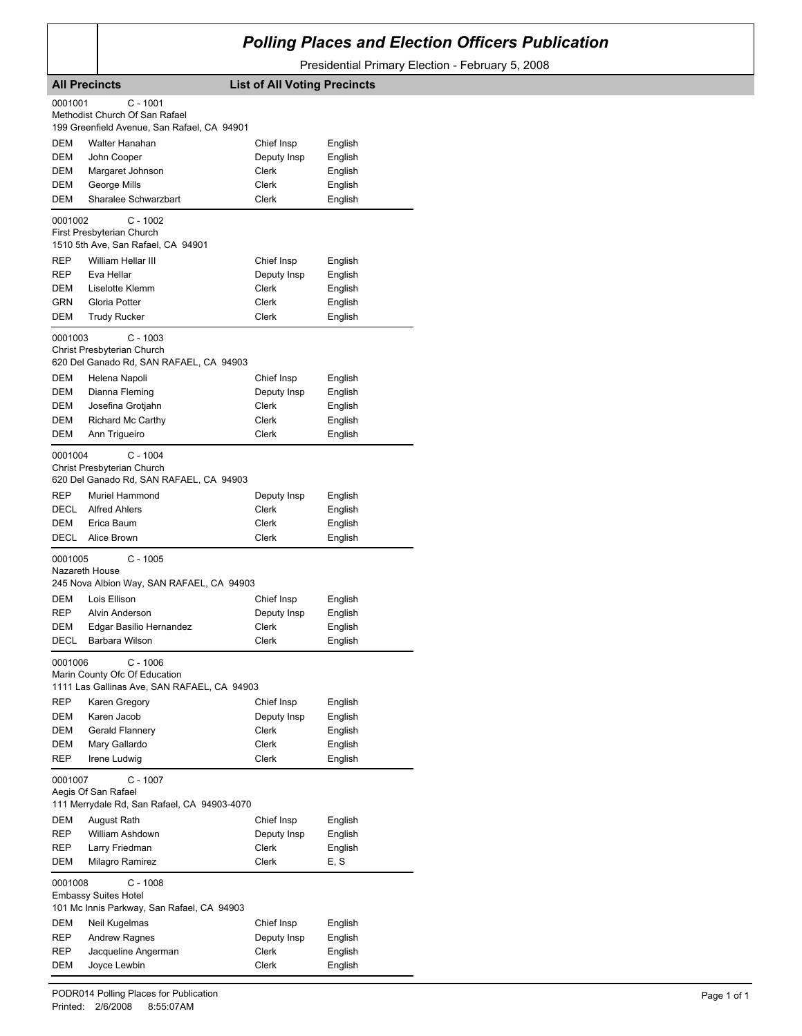## *Polling Places and Election Officers Publication*

Presidential Primary Election - February 5, 2008

|             | <b>All Precincts</b>                        | <b>List of All Voting Precincts</b> |         |
|-------------|---------------------------------------------|-------------------------------------|---------|
| 0001001     | C - 1001                                    |                                     |         |
|             | Methodist Church Of San Rafael              |                                     |         |
|             | 199 Greenfield Avenue, San Rafael, CA 94901 |                                     |         |
| DEM         | Walter Hanahan                              | Chief Insp                          | English |
| DEM         | John Cooper                                 | Deputy Insp                         | English |
| DEM         | Margaret Johnson                            | Clerk                               | English |
| DEM         | George Mills                                | Clerk                               | English |
| DEM         | Sharalee Schwarzbart                        | Clerk                               | English |
| 0001002     | $C - 1002$                                  |                                     |         |
|             | First Presbyterian Church                   |                                     |         |
|             | 1510 5th Ave, San Rafael, CA 94901          |                                     |         |
| REP         | William Hellar III                          | Chief Insp                          | English |
| <b>REP</b>  | Eva Hellar                                  | Deputy Insp                         | English |
| DEM         | Liselotte Klemm                             | Clerk                               | English |
| GRN         | Gloria Potter                               | Clerk                               | English |
| DEM         | <b>Trudy Rucker</b>                         | Clerk                               | English |
| 0001003     | $C - 1003$                                  |                                     |         |
|             | Christ Presbyterian Church                  |                                     |         |
|             | 620 Del Ganado Rd, SAN RAFAEL, CA 94903     |                                     |         |
| DEM         | Helena Napoli                               | Chief Insp                          | English |
| DEM         | Dianna Fleming                              | Deputy Insp                         | English |
| DEM         | Josefina Grotjahn                           | Clerk                               | English |
| <b>DEM</b>  | Richard Mc Carthy                           | Clerk                               | English |
| DEM         | Ann Trigueiro                               | Clerk                               | English |
| 0001004     | $C - 1004$                                  |                                     |         |
|             | Christ Presbyterian Church                  |                                     |         |
|             | 620 Del Ganado Rd, SAN RAFAEL, CA 94903     |                                     |         |
| REP         | Muriel Hammond                              | Deputy Insp                         | English |
| DECL        | <b>Alfred Ahlers</b>                        | Clerk                               | English |
| DEM         | Erica Baum                                  | Clerk                               | English |
| <b>DECL</b> | Alice Brown                                 | Clerk                               | English |
| 0001005     | $C - 1005$                                  |                                     |         |
|             | Nazareth House                              |                                     |         |
|             | 245 Nova Albion Way, SAN RAFAEL, CA 94903   |                                     |         |
| DEM         | Lois Ellison                                | Chief Insp                          | English |
| <b>REP</b>  | Alvin Anderson                              | Deputy Insp                         | English |
| DEM         | Edgar Basilio Hernandez                     | <b>Clerk</b>                        | English |
| <b>DECL</b> | Barbara Wilson                              | Clerk                               | English |
| 0001006     | C - 1006                                    |                                     |         |
|             | Marin County Ofc Of Education               |                                     |         |
|             | 1111 Las Gallinas Ave, SAN RAFAEL, CA 94903 |                                     |         |
| <b>REP</b>  | Karen Gregory                               | Chief Insp                          | English |
| DEM         | Karen Jacob                                 | Deputy Insp                         | English |
| DEM         | Gerald Flannery                             | <b>Clerk</b>                        | English |
| DEM         | Mary Gallardo                               | Clerk                               | English |
| REP         | Irene Ludwig                                | Clerk                               | English |
|             | $C - 1007$                                  |                                     |         |
| 0001007     | Aegis Of San Rafael                         |                                     |         |
|             | 111 Merrydale Rd, San Rafael, CA 94903-4070 |                                     |         |
| DEM         | August Rath                                 | Chief Insp                          | English |
| REP         | William Ashdown                             | Deputy Insp                         | English |
| REP         | Larry Friedman                              | Clerk                               | English |
| DEM         | Milagro Ramirez                             | Clerk                               | E, S    |
|             |                                             |                                     |         |
| 0001008     | $C - 1008$<br><b>Embassy Suites Hotel</b>   |                                     |         |
|             | 101 Mc Innis Parkway, San Rafael, CA 94903  |                                     |         |
| DEM         | Neil Kugelmas                               | Chief Insp                          | English |
| REP         | <b>Andrew Ragnes</b>                        | Deputy Insp                         | English |
| REP         | Jacqueline Angerman                         | Clerk                               | English |
| DEM         | Joyce Lewbin                                | <b>Clerk</b>                        | English |
|             |                                             |                                     |         |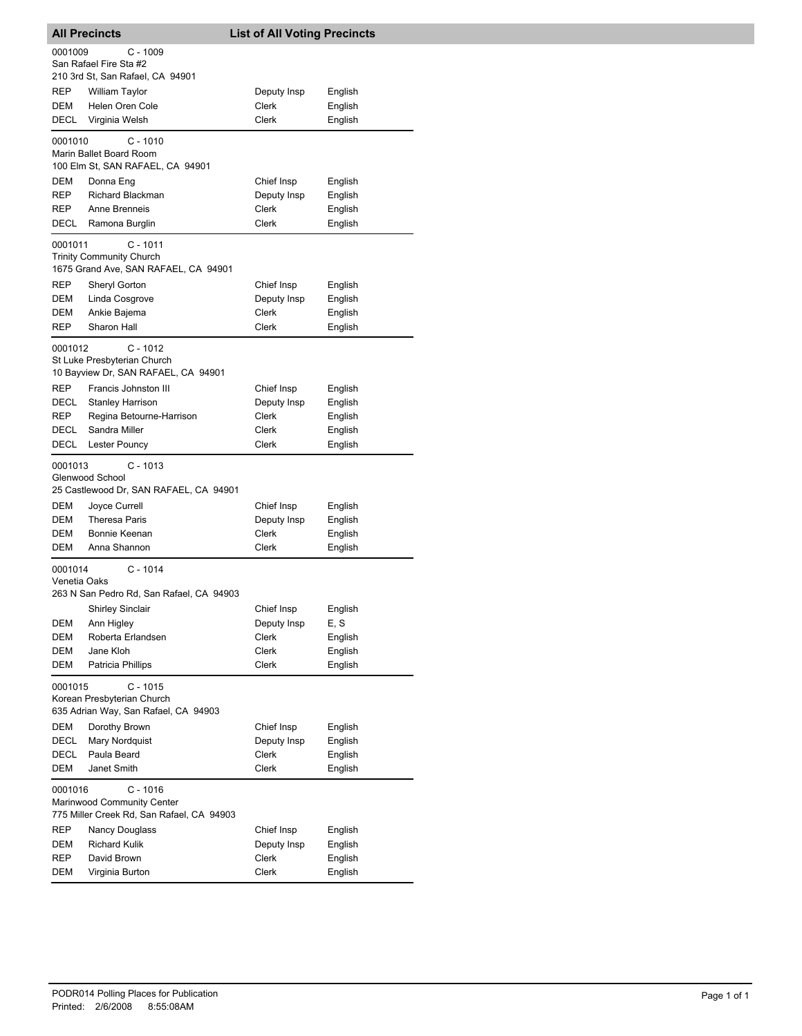|                         | <b>All Precincts</b>                                                                  | <b>List of All Voting Precincts</b> |         |
|-------------------------|---------------------------------------------------------------------------------------|-------------------------------------|---------|
| 0001009                 | $C - 1009$<br>San Rafael Fire Sta #2<br>210 3rd St, San Rafael, CA 94901              |                                     |         |
| REP                     | <b>William Taylor</b>                                                                 | Deputy Insp                         | English |
| DEM                     | Helen Oren Cole                                                                       | Clerk                               | English |
| DECL                    | Virginia Welsh                                                                        | <b>Clerk</b>                        | English |
| 0001010                 | $C - 1010$<br>Marin Ballet Board Room<br>100 Elm St, SAN RAFAEL, CA 94901             |                                     |         |
| DEM                     | Donna Eng                                                                             | Chief Insp                          | English |
| REP                     | Richard Blackman                                                                      | Deputy Insp                         | English |
| REP                     | Anne Brenneis                                                                         | <b>Clerk</b>                        | English |
| DECL                    | Ramona Burglin                                                                        | Clerk                               | English |
| 0001011                 | $C - 1011$<br><b>Trinity Community Church</b><br>1675 Grand Ave, SAN RAFAEL, CA 94901 |                                     |         |
| REP                     | Sheryl Gorton                                                                         | Chief Insp                          | English |
| DEM                     | Linda Cosgrove                                                                        | Deputy Insp                         | English |
| DEM                     | Ankie Bajema                                                                          | Clerk                               | English |
| REP                     | Sharon Hall                                                                           | <b>Clerk</b>                        | English |
| 0001012                 | $C - 1012$<br>St Luke Presbyterian Church<br>10 Bayview Dr, SAN RAFAEL, CA 94901      |                                     |         |
| REP                     | Francis Johnston III                                                                  | Chief Insp                          | English |
| DECL                    | <b>Stanley Harrison</b>                                                               | Deputy Insp                         | English |
| REP                     | Regina Betourne-Harrison                                                              | Clerk                               | English |
| DECL                    | Sandra Miller                                                                         | Clerk                               | English |
| DECL                    | Lester Pouncy                                                                         | Clerk                               | English |
| 0001013                 | $C - 1013$<br>Glenwood School<br>25 Castlewood Dr, SAN RAFAEL, CA 94901               |                                     |         |
| DEM                     | Joyce Currell                                                                         | Chief Insp                          | English |
| DEM                     | <b>Theresa Paris</b>                                                                  | Deputy Insp                         | English |
| DEM                     | Bonnie Keenan                                                                         | Clerk                               | English |
| DEM                     | Anna Shannon                                                                          | Clerk                               | English |
| 0001014<br>Venetia Oaks | $C - 1014$<br>263 N San Pedro Rd, San Rafael, CA 94903                                |                                     |         |
|                         | Shirley Sinclair                                                                      | Chief Insp                          | English |
| DEM                     | Ann Higley                                                                            | Deputy Insp                         | E, S    |
| DEM                     | Roberta Erlandsen                                                                     | Clerk                               | English |
| DEM                     | Jane Kloh                                                                             | Clerk                               | English |
| DEM                     | Patricia Phillips                                                                     | Clerk                               | English |
| 0001015                 | $C - 1015$<br>Korean Presbyterian Church                                              |                                     |         |
|                         | 635 Adrian Way, San Rafael, CA 94903                                                  |                                     |         |
| DEM                     | Dorothy Brown                                                                         | Chief Insp                          | English |
| DECL                    | Mary Nordquist                                                                        | Deputy Insp                         | English |
| DECL                    | Paula Beard                                                                           | Clerk                               | English |
| DEM                     | Janet Smith                                                                           | Clerk                               | English |
| 0001016                 | $C - 1016$<br>Marinwood Community Center<br>775 Miller Creek Rd, San Rafael, CA 94903 |                                     |         |
| REP                     | Nancy Douglass                                                                        | Chief Insp                          | English |
| DEM                     | <b>Richard Kulik</b>                                                                  | Deputy Insp                         | English |
| REP                     | David Brown                                                                           | Clerk                               | English |
| DEM                     | Virginia Burton                                                                       | Clerk                               | English |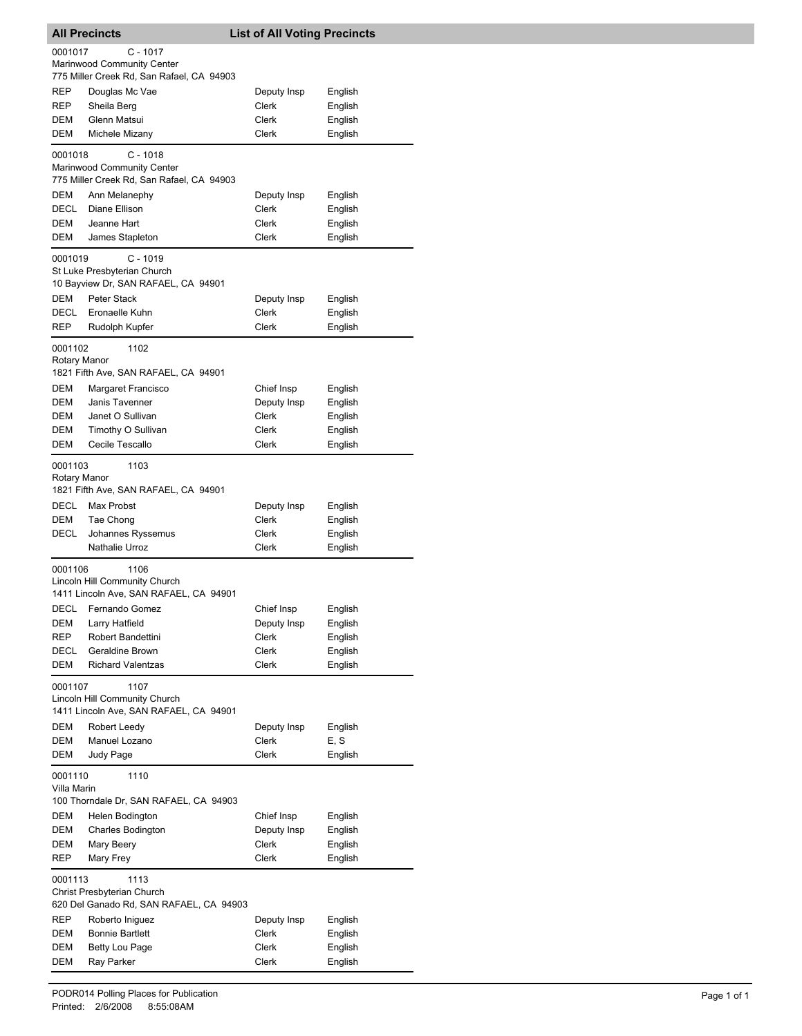|                         | <b>All Precincts</b>                                                             | <b>List of All Voting Precincts</b> |                    |
|-------------------------|----------------------------------------------------------------------------------|-------------------------------------|--------------------|
| 0001017                 | $C - 1017$                                                                       |                                     |                    |
|                         | Marinwood Community Center<br>775 Miller Creek Rd, San Rafael, CA 94903          |                                     |                    |
| REP                     | Douglas Mc Vae                                                                   | Deputy Insp                         | English            |
| REP                     | Sheila Berg                                                                      | Clerk                               | English            |
| DEM                     | Glenn Matsui                                                                     | Clerk                               | English            |
| <b>DEM</b>              | Michele Mizany                                                                   | Clerk                               | English            |
| 0001018                 | $C - 1018$<br>Marinwood Community Center                                         |                                     |                    |
|                         | 775 Miller Creek Rd, San Rafael, CA 94903                                        |                                     |                    |
| DEM                     | Ann Melanephy                                                                    | Deputy Insp                         | English            |
| DECL<br>DEM             | Diane Ellison<br>Jeanne Hart                                                     | Clerk<br>Clerk                      | English<br>English |
| DEM                     | James Stapleton                                                                  | Clerk                               | English            |
| 0001019                 | $C - 1019$<br>St Luke Presbyterian Church<br>10 Bayview Dr, SAN RAFAEL, CA 94901 |                                     |                    |
| <b>DEM</b>              | <b>Peter Stack</b>                                                               | Deputy Insp                         | English            |
| DECL                    | Eronaelle Kuhn                                                                   | Clerk                               | English            |
| REP                     | Rudolph Kupfer                                                                   | Clerk                               | English            |
| 0001102<br>Rotary Manor | 1102<br>1821 Fifth Ave, SAN RAFAEL, CA 94901                                     |                                     |                    |
| DEM                     | Margaret Francisco                                                               | Chief Insp                          | English            |
| DEM                     | Janis Tavenner                                                                   | Deputy Insp                         | English            |
| DEM                     | Janet O Sullivan                                                                 | Clerk                               | English            |
| DEM                     | Timothy O Sullivan                                                               | Clerk                               | English            |
| DEM                     | Cecile Tescallo                                                                  | Clerk                               | English            |
| 0001103<br>Rotary Manor | 1103<br>1821 Fifth Ave, SAN RAFAEL, CA 94901                                     |                                     |                    |
| DECL                    | Max Probst                                                                       | Deputy Insp                         | English            |
| DEM                     | Tae Chong                                                                        | Clerk                               | English            |
| DECL                    | Johannes Ryssemus                                                                | Clerk                               | English            |
|                         | Nathalie Urroz                                                                   | Clerk                               | English            |
| 0001106                 | 1106<br>Lincoln Hill Community Church<br>1411 Lincoln Ave, SAN RAFAEL, CA 94901  |                                     |                    |
| DECL                    | Fernando Gomez                                                                   | Chief Insp                          | English            |
| DEM                     | Larry Hatfield                                                                   | Deputy Insp                         | English            |
| <b>REP</b>              | Robert Bandettini                                                                | Clerk                               | English            |
| DECL                    | Geraldine Brown                                                                  | Clerk                               | English            |
| DEM                     | <b>Richard Valentzas</b>                                                         | <b>Clerk</b>                        | English            |
| 0001107                 | 1107<br>Lincoln Hill Community Church<br>1411 Lincoln Ave, SAN RAFAEL, CA 94901  |                                     |                    |
| <b>DEM</b>              | Robert Leedy                                                                     | Deputy Insp                         | English            |
| DEM                     | Manuel Lozano                                                                    | Clerk                               | E, S               |
| DEM                     | Judy Page                                                                        | Clerk                               | English            |
| 0001110<br>Villa Marin  | 1110<br>100 Thorndale Dr, SAN RAFAEL, CA 94903                                   |                                     |                    |
| DEM                     | Helen Bodington                                                                  | Chief Insp                          | English            |
| DEM                     | <b>Charles Bodington</b>                                                         | Deputy Insp                         | English            |
| DEM                     | Mary Beery                                                                       | Clerk                               | English            |
| REP                     | Mary Frey                                                                        | Clerk                               | English            |
| 0001113                 | 1113<br>Christ Presbyterian Church<br>620 Del Ganado Rd, SAN RAFAEL, CA 94903    |                                     |                    |
| REP                     | Roberto Iniguez                                                                  | Deputy Insp                         | English            |
| DEM                     | <b>Bonnie Bartlett</b>                                                           | Clerk                               | English            |
| DEM                     | <b>Betty Lou Page</b>                                                            | Clerk                               | English            |
| DEM                     | Ray Parker                                                                       | Clerk                               | English            |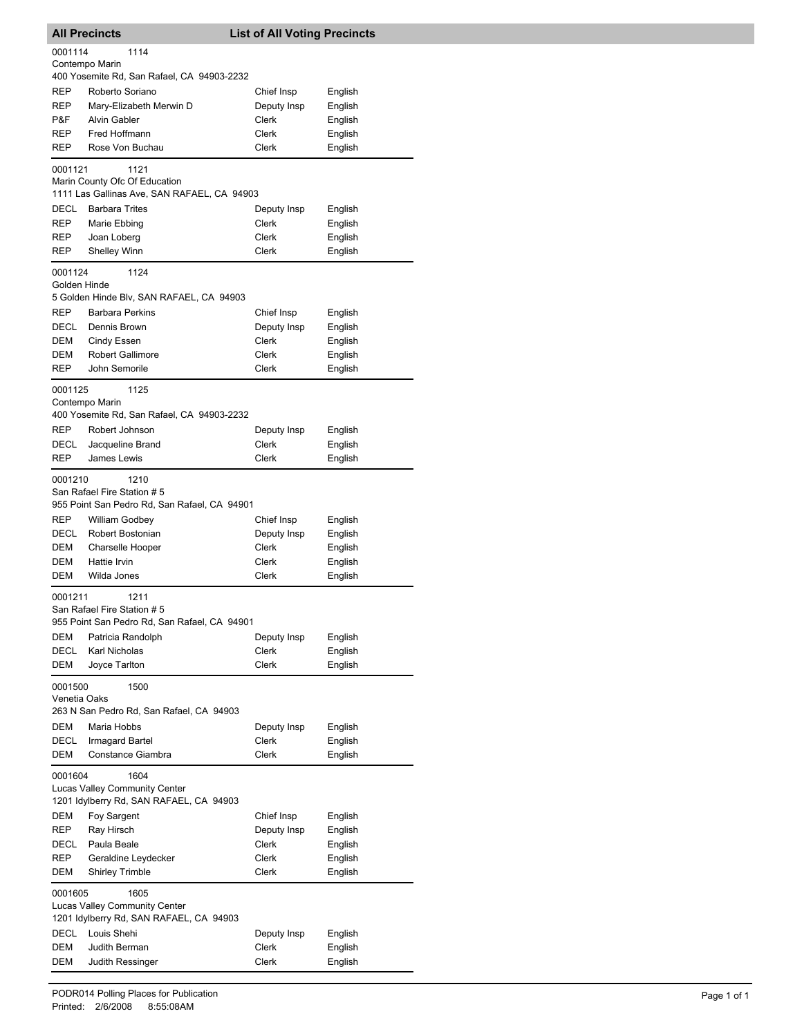| <b>All Precincts</b>    |                                                                                         | <b>List of All Voting Precincts</b> |                    |
|-------------------------|-----------------------------------------------------------------------------------------|-------------------------------------|--------------------|
| 0001114                 | 1114                                                                                    |                                     |                    |
|                         | Contempo Marin<br>400 Yosemite Rd, San Rafael, CA 94903-2232                            |                                     |                    |
| <b>REP</b>              | Roberto Soriano                                                                         | Chief Insp                          | English            |
| <b>REP</b>              | Marv-Elizabeth Merwin D                                                                 | Deputy Insp                         | English            |
| P&F                     | <b>Alvin Gabler</b>                                                                     | Clerk                               | English            |
| <b>REP</b>              | Fred Hoffmann                                                                           | Clerk                               | English            |
| <b>REP</b>              | Rose Von Buchau                                                                         | <b>Clerk</b>                        | English            |
| 0001121                 | 1121                                                                                    |                                     |                    |
|                         | Marin County Ofc Of Education<br>1111 Las Gallinas Ave, SAN RAFAEL, CA 94903            |                                     |                    |
| <b>DECL</b>             | <b>Barbara Trites</b>                                                                   | Deputy Insp                         | English            |
| REP                     | Marie Ebbing                                                                            | Clerk                               | English            |
| REP                     | Joan Loberg                                                                             | Clerk                               | English            |
| REP                     | <b>Shelley Winn</b>                                                                     | Clerk                               | English            |
| 0001124<br>Golden Hinde | 1124<br>5 Golden Hinde Blv, SAN RAFAEL, CA 94903                                        |                                     |                    |
| <b>REP</b>              | <b>Barbara Perkins</b>                                                                  | Chief Insp                          | English            |
| <b>DECL</b>             | Dennis Brown                                                                            | Deputy Insp                         | English            |
| DEM                     | Cindy Essen                                                                             | Clerk                               | English            |
| DEM                     | <b>Robert Gallimore</b>                                                                 | <b>Clerk</b>                        | English            |
| <b>REP</b>              | John Semorile                                                                           | <b>Clerk</b>                        | English            |
| 0001125                 | 1125<br>Contempo Marin<br>400 Yosemite Rd, San Rafael, CA 94903-2232                    |                                     |                    |
| <b>REP</b>              | Robert Johnson                                                                          | Deputy Insp                         | English            |
| DECL                    | Jacqueline Brand                                                                        | Clerk                               | English            |
| REP                     | James Lewis                                                                             | Clerk                               | English            |
| 0001210                 | 1210<br>San Rafael Fire Station # 5                                                     |                                     |                    |
|                         | 955 Point San Pedro Rd, San Rafael, CA 94901                                            |                                     |                    |
| <b>REP</b>              | <b>William Godbey</b>                                                                   | Chief Insp                          | English            |
| DECL                    | Robert Bostonian                                                                        | Deputy Insp                         | English            |
| DEM                     | Charselle Hooper                                                                        | Clerk                               | English            |
| <b>DEM</b><br>DEM       | Hattie Irvin<br>Wilda Jones                                                             | Clerk<br>Clerk                      | English            |
|                         |                                                                                         |                                     | English            |
| 0001211                 | 1211<br>San Rafael Fire Station # 5                                                     |                                     |                    |
|                         | 955 Point San Pedro Rd, San Rafael, CA 94901                                            |                                     |                    |
| DEM<br><b>DECL</b>      | Patricia Randolph<br>Karl Nicholas                                                      | Deputy Insp<br>Clerk                | English<br>English |
| DEM                     | Joyce Tarlton                                                                           | Clerk                               | English            |
| 0001500                 | 1500                                                                                    |                                     |                    |
| Venetia Oaks            | 263 N San Pedro Rd, San Rafael, CA 94903                                                |                                     |                    |
| <b>DEM</b>              | Maria Hobbs                                                                             | Deputy Insp                         | English            |
| DECL                    | <b>Irmagard Bartel</b>                                                                  | Clerk                               | English            |
| DEM                     | Constance Giambra                                                                       | Clerk                               | English            |
| 0001604                 | 1604<br>Lucas Valley Community Center<br>1201 Idylberry Rd, SAN RAFAEL, CA 94903        |                                     |                    |
| DEM                     | Foy Sargent                                                                             | Chief Insp                          | English            |
| REP                     | Ray Hirsch                                                                              | Deputy Insp                         | English            |
| DECL                    | Paula Beale                                                                             | Clerk                               | English            |
| REP                     | Geraldine Leydecker                                                                     | Clerk                               | English            |
| DEM                     | <b>Shirley Trimble</b>                                                                  | Clerk                               | English            |
| 0001605                 | 1605<br><b>Lucas Valley Community Center</b><br>1201 Idylberry Rd, SAN RAFAEL, CA 94903 |                                     |                    |
| DECL                    | Louis Shehi                                                                             | Deputy Insp                         | English            |
| DEM                     | Judith Berman                                                                           | Clerk                               | English            |
| DEM                     | Judith Ressinger                                                                        | Clerk                               | English            |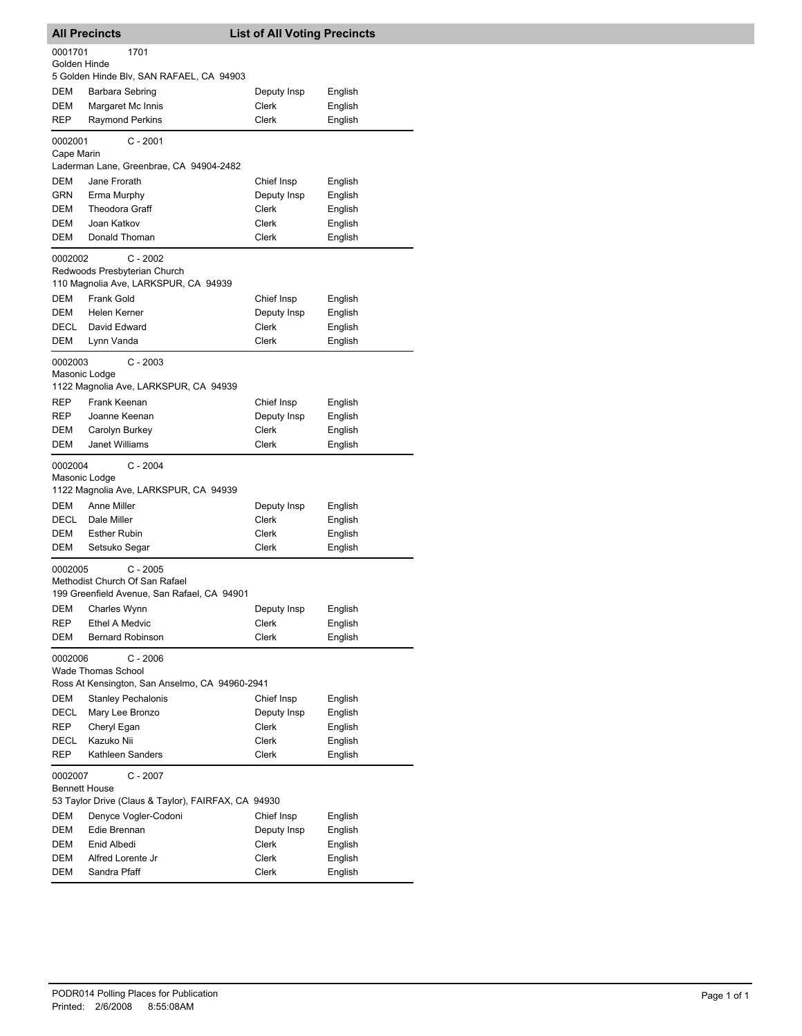|                          | <b>All Precincts</b>                                                                      | <b>List of All Voting Precincts</b> |                    |
|--------------------------|-------------------------------------------------------------------------------------------|-------------------------------------|--------------------|
| 0001701<br>Golden Hinde  | 1701                                                                                      |                                     |                    |
|                          | 5 Golden Hinde Blv, SAN RAFAEL, CA 94903                                                  |                                     |                    |
| DEM                      | Barbara Sebring                                                                           | Deputy Insp                         | English            |
| DEM                      | Margaret Mc Innis                                                                         | Clerk                               | English            |
| REP                      | <b>Raymond Perkins</b>                                                                    | Clerk                               | English            |
| 0002001<br>Cape Marin    | C - 2001                                                                                  |                                     |                    |
|                          | Laderman Lane, Greenbrae, CA 94904-2482                                                   |                                     |                    |
| DEM                      | Jane Frorath                                                                              | Chief Insp                          | English            |
| GRN                      | Erma Murphy                                                                               | Deputy Insp                         | English            |
| DEM                      | <b>Theodora Graff</b>                                                                     | Clerk                               | English            |
| DEM                      | Joan Katkov                                                                               | Clerk                               | English            |
| <b>DEM</b>               | Donald Thoman                                                                             | Clerk                               | English            |
| 0002002                  | $C - 2002$<br>Redwoods Presbyterian Church<br>110 Magnolia Ave, LARKSPUR, CA 94939        |                                     |                    |
| DEM                      | <b>Frank Gold</b>                                                                         |                                     |                    |
|                          |                                                                                           | Chief Insp                          | English            |
| DEM                      | Helen Kerner                                                                              | Deputy Insp                         | English            |
| <b>DECL</b>              | David Edward                                                                              | Clerk                               | English            |
| DEM                      | Lynn Vanda                                                                                | Clerk                               | English            |
| 0002003<br>Masonic Lodge | $C - 2003$<br>1122 Magnolia Ave, LARKSPUR, CA 94939                                       |                                     |                    |
| REP                      | Frank Keenan                                                                              | Chief Insp                          | English            |
| REP                      | Joanne Keenan                                                                             | Deputy Insp                         | English            |
| DEM                      | Carolyn Burkey                                                                            | Clerk                               | English            |
| DEM                      | Janet Williams                                                                            | Clerk                               | English            |
| 0002004<br>Masonic Lodge | C - 2004<br>1122 Magnolia Ave, LARKSPUR, CA 94939                                         |                                     |                    |
| DEM                      | Anne Miller                                                                               | Deputy Insp                         | English            |
| DECL                     | Dale Miller                                                                               | Clerk                               | English            |
| DEM                      | <b>Esther Rubin</b>                                                                       | Clerk                               | English            |
| DEM                      | Setsuko Segar                                                                             | Clerk                               | English            |
| 0002005                  | C - 2005<br>Methodist Church Of San Rafael<br>199 Greenfield Avenue, San Rafael, CA 94901 |                                     |                    |
| DEM                      | Charles Wynn                                                                              | Deputy Insp                         | English            |
| REP                      | <b>Ethel A Medvic</b>                                                                     | Clerk                               | English            |
| DEM                      | <b>Bernard Robinson</b>                                                                   | Clerk                               | English            |
| 0002006                  | $C - 2006$<br><b>Wade Thomas School</b><br>Ross At Kensington, San Anselmo, CA 94960-2941 |                                     |                    |
| <b>DEM</b>               | <b>Stanley Pechalonis</b>                                                                 | Chief Insp                          | English            |
| DECL                     | Mary Lee Bronzo                                                                           | Deputy Insp                         | English            |
| REP                      | Cheryl Egan                                                                               | Clerk                               |                    |
|                          |                                                                                           |                                     | English            |
| DECL                     | Kazuko Nii                                                                                | Clerk                               | English            |
| REP                      | Kathleen Sanders                                                                          | Clerk                               | English            |
| 0002007                  |                                                                                           |                                     |                    |
| <b>Bennett House</b>     | $C - 2007$                                                                                |                                     |                    |
|                          | 53 Taylor Drive (Claus & Taylor), FAIRFAX, CA 94930                                       |                                     |                    |
| DEM                      | Denyce Vogler-Codoni                                                                      | Chief Insp                          | English            |
| DEM                      | Edie Brennan                                                                              | Deputy Insp                         | English            |
| DEM                      | Enid Albedi                                                                               | Clerk                               | English            |
| DEM<br>DEM               | Alfred Lorente Jr<br>Sandra Pfaff                                                         | Clerk<br>Clerk                      | English<br>English |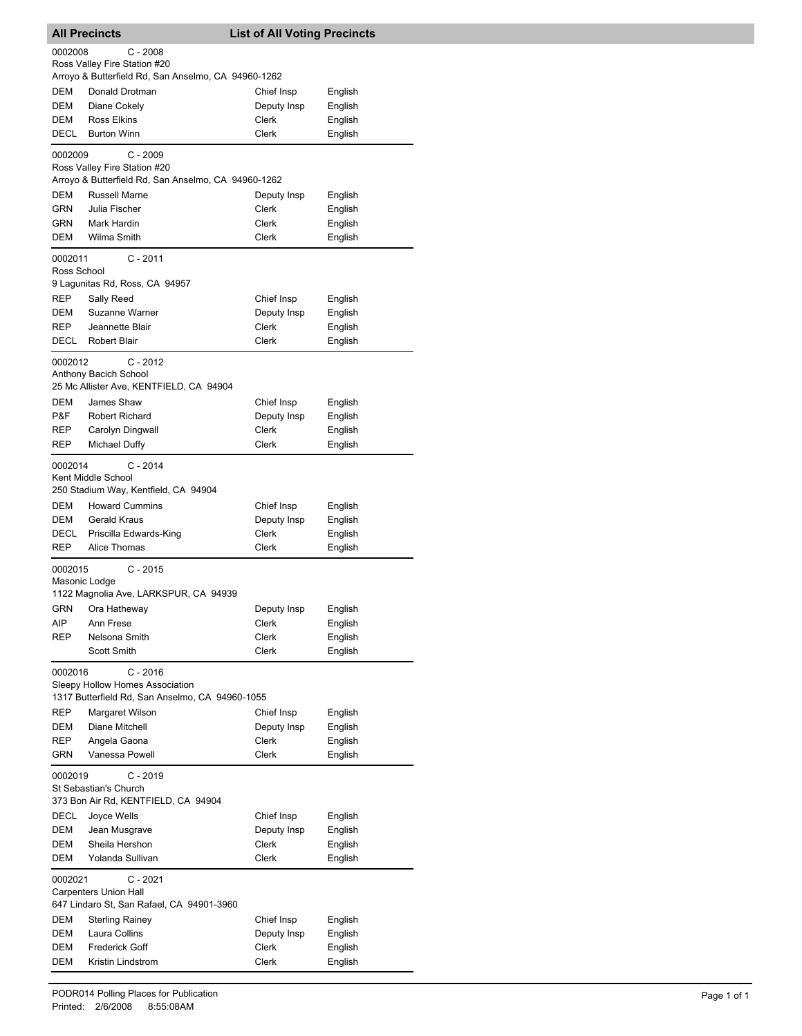|             | <b>All Precincts</b>                                                                             | <b>List of All Voting Precincts</b> |         |
|-------------|--------------------------------------------------------------------------------------------------|-------------------------------------|---------|
| 0002008     | $C - 2008$                                                                                       |                                     |         |
|             | Ross Valley Fire Station #20<br>Arroyo & Butterfield Rd, San Anselmo, CA 94960-1262              |                                     |         |
| DEM         | Donald Drotman                                                                                   | Chief Insp                          | English |
| DEM         | Diane Cokely                                                                                     | Deputy Insp                         | English |
| DEM         | <b>Ross Elkins</b>                                                                               | Clerk                               | English |
| <b>DECL</b> | <b>Burton Winn</b>                                                                               | Clerk                               | English |
| 0002009     | $C - 2009$<br>Ross Valley Fire Station #20                                                       |                                     |         |
|             | Arroyo & Butterfield Rd, San Anselmo, CA 94960-1262                                              |                                     |         |
| DEM         | Russell Marne                                                                                    | Deputy Insp                         | English |
| GRN         | Julia Fischer                                                                                    | Clerk                               | English |
| GRN         | Mark Hardin                                                                                      | Clerk                               | English |
| DEM         | Wilma Smith                                                                                      | Clerk                               | English |
| 0002011     | $C - 2011$                                                                                       |                                     |         |
| Ross School | 9 Lagunitas Rd, Ross, CA 94957                                                                   |                                     |         |
| <b>REP</b>  | Sally Reed                                                                                       | Chief Insp                          | English |
| DEM         | Suzanne Warner                                                                                   | Deputy Insp                         | English |
| <b>REP</b>  | Jeannette Blair                                                                                  | Clerk                               | English |
| <b>DECL</b> | <b>Robert Blair</b>                                                                              | <b>Clerk</b>                        | English |
| 0002012     | $C - 2012$                                                                                       |                                     |         |
|             | Anthony Bacich School<br>25 Mc Allister Ave, KENTFIELD, CA 94904                                 |                                     |         |
| DEM         | James Shaw                                                                                       | Chief Insp                          | English |
| P&F         | <b>Robert Richard</b>                                                                            | Deputy Insp                         | English |
| REP         | Carolyn Dingwall                                                                                 | <b>Clerk</b>                        | English |
| REP         | Michael Duffy                                                                                    | <b>Clerk</b>                        | English |
| 0002014     | $C - 2014$<br>Kent Middle School<br>250 Stadium Way, Kentfield, CA 94904                         |                                     |         |
| DEM         | <b>Howard Cummins</b>                                                                            | Chief Insp                          | English |
| DEM         | Gerald Kraus                                                                                     | Deputy Insp                         | English |
| DECL        | Priscilla Edwards-King                                                                           | Clerk                               | English |
| <b>REP</b>  | Alice Thomas                                                                                     | Clerk                               | English |
| 0002015     | $C - 2015$<br>Masonic Lodge<br>1122 Magnolia Ave, LARKSPUR, CA 94939                             |                                     |         |
|             | GRN Ora Hatheway                                                                                 | Deputy Insp                         | English |
| AIP         | Ann Frese                                                                                        | Clerk                               | English |
| REP         | Nelsona Smith                                                                                    | Clerk                               | English |
|             | Scott Smith                                                                                      | Clerk                               | English |
| 0002016     | $C - 2016$<br>Sleepy Hollow Homes Association<br>1317 Butterfield Rd, San Anselmo, CA 94960-1055 |                                     |         |
| <b>REP</b>  | Margaret Wilson                                                                                  | Chief Insp                          | English |
| DEM         | Diane Mitchell                                                                                   | Deputy Insp                         | English |
| REP         | Angela Gaona                                                                                     | Clerk                               | English |
| GRN         | Vanessa Powell                                                                                   | Clerk                               | English |
| 0002019     | $C - 2019$<br>St Sebastian's Church<br>373 Bon Air Rd, KENTFIELD, CA 94904                       |                                     |         |
| DECL        | Joyce Wells                                                                                      | Chief Insp                          | English |
| DEM         | Jean Musgrave                                                                                    | Deputy Insp                         | English |
| DEM         | Sheila Hershon                                                                                   | Clerk                               | English |
| DEM         | Yolanda Sullivan                                                                                 | <b>Clerk</b>                        | English |
| 0002021     | C - 2021<br><b>Carpenters Union Hall</b><br>647 Lindaro St, San Rafael, CA 94901-3960            |                                     |         |
| DEM         | <b>Sterling Rainey</b>                                                                           | Chief Insp                          | English |
| DEM         | Laura Collins                                                                                    | Deputy Insp                         | English |
| DEM         | <b>Frederick Goff</b>                                                                            | Clerk                               | English |
| DEM         | Kristin Lindstrom                                                                                | Clerk                               | English |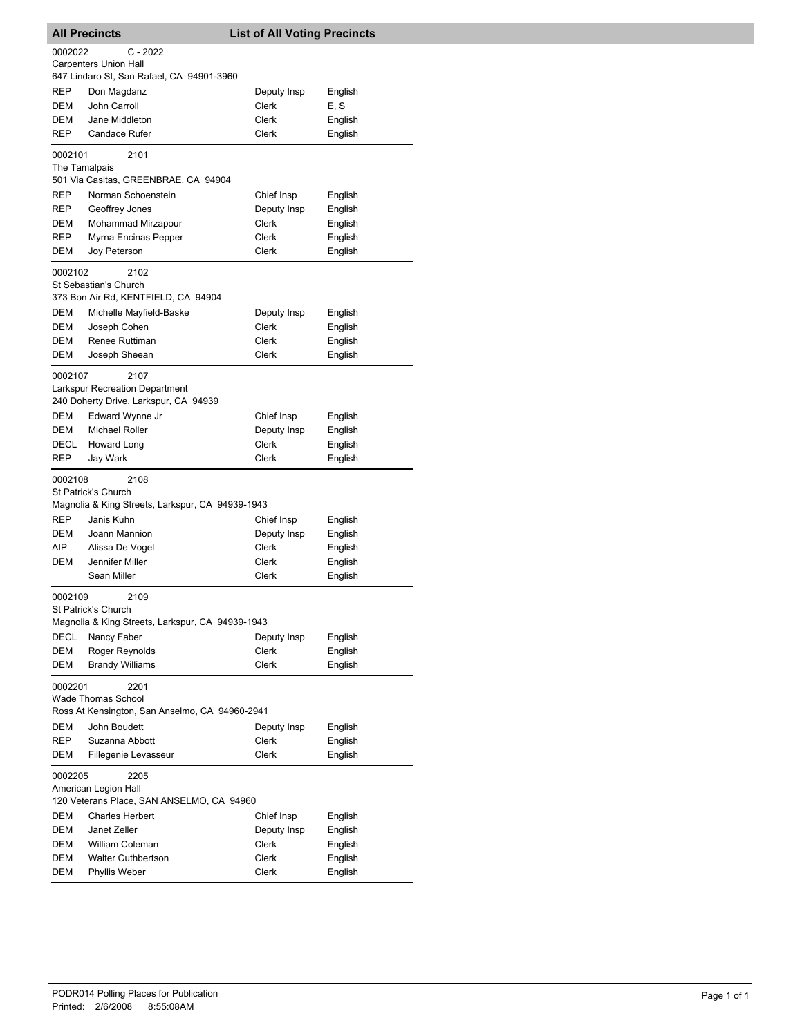|               | <b>All Precincts</b>                                                           | <b>List of All Voting Precincts</b> |                    |
|---------------|--------------------------------------------------------------------------------|-------------------------------------|--------------------|
| 0002022       | C - 2022                                                                       |                                     |                    |
|               | <b>Carpenters Union Hall</b>                                                   |                                     |                    |
|               | 647 Lindaro St, San Rafael, CA 94901-3960                                      |                                     |                    |
| REP           | Don Magdanz                                                                    | Deputy Insp                         | English            |
| DEM           | John Carroll                                                                   | Clerk                               | E, S               |
| DEM           | Jane Middleton                                                                 | Clerk                               | English            |
| REP           | <b>Candace Rufer</b>                                                           | Clerk                               | English            |
| 0002101       | 2101                                                                           |                                     |                    |
| The Tamalpais |                                                                                |                                     |                    |
|               | 501 Via Casitas, GREENBRAE, CA 94904                                           |                                     |                    |
| REP           | Norman Schoenstein                                                             | Chief Insp                          | English            |
| REP           | Geoffrey Jones                                                                 | Deputy Insp                         | English            |
| DEM           | Mohammad Mirzapour                                                             | Clerk                               | English            |
| REP           | Myrna Encinas Pepper                                                           | Clerk                               | English            |
| DEM           | Joy Peterson                                                                   | Clerk                               | English            |
| 0002102       | 2102<br>St Sebastian's Church<br>373 Bon Air Rd, KENTFIELD, CA 94904           |                                     |                    |
| DEM           | Michelle Mayfield-Baske                                                        | Deputy Insp                         | English            |
| DEM           | Joseph Cohen                                                                   | Clerk                               | English            |
| DEM           | <b>Renee Ruttiman</b>                                                          | Clerk                               | English            |
| DEM           | Joseph Sheean                                                                  | Clerk                               | English            |
| 0002107       | 2107                                                                           |                                     |                    |
|               | <b>Larkspur Recreation Department</b><br>240 Doherty Drive, Larkspur, CA 94939 |                                     |                    |
| DEM           | Edward Wynne Jr                                                                | Chief Insp                          | English            |
| DEM           | <b>Michael Roller</b>                                                          | Deputy Insp                         | English            |
| DECL          | Howard Long                                                                    | <b>Clerk</b>                        | English            |
| REP           | Jay Wark                                                                       | Clerk                               | English            |
| 0002108       | 2108                                                                           |                                     |                    |
|               | St Patrick's Church                                                            |                                     |                    |
|               | Magnolia & King Streets, Larkspur, CA 94939-1943                               |                                     |                    |
| REP           | Janis Kuhn                                                                     | Chief Insp                          | English            |
| DEM           | Joann Mannion                                                                  | Deputy Insp                         | English            |
| AIP           | Alissa De Vogel                                                                | <b>Clerk</b>                        | English            |
| DEM           | Jennifer Miller                                                                | Clerk                               | English            |
|               | Sean Miller                                                                    | Clerk                               | English            |
| 0002109       | 2109                                                                           |                                     |                    |
|               | St Patrick's Church<br>Magnolia & King Streets, Larkspur, CA 94939-1943        |                                     |                    |
| <b>DECL</b>   |                                                                                |                                     |                    |
| DEM           | Nancy Faber<br>Roger Reynolds                                                  | Deputy Insp<br><b>Clerk</b>         | English<br>English |
| DEM           | <b>Brandy Williams</b>                                                         | Clerk                               | English            |
| 0002201       | 2201                                                                           |                                     |                    |
|               | <b>Wade Thomas School</b>                                                      |                                     |                    |
|               | Ross At Kensington, San Anselmo, CA 94960-2941                                 |                                     |                    |
| <b>DEM</b>    | John Boudett                                                                   | Deputy Insp                         | English            |
| REP<br>DEM    | Suzanna Abbott                                                                 | Clerk<br>Clerk                      | English            |
|               | Fillegenie Levasseur                                                           |                                     | English            |
| 0002205       | 2205                                                                           |                                     |                    |
|               | American Legion Hall<br>120 Veterans Place, SAN ANSELMO, CA 94960              |                                     |                    |
| DEM           | <b>Charles Herbert</b>                                                         | Chief Insp                          | English            |
| DEM           | Janet Zeller                                                                   | Deputy Insp                         | English            |
| DEM           | William Coleman                                                                | Clerk                               | English            |
| DEM           | <b>Walter Cuthbertson</b>                                                      | Clerk                               | English            |
| DEM           | Phyllis Weber                                                                  | Clerk                               | English            |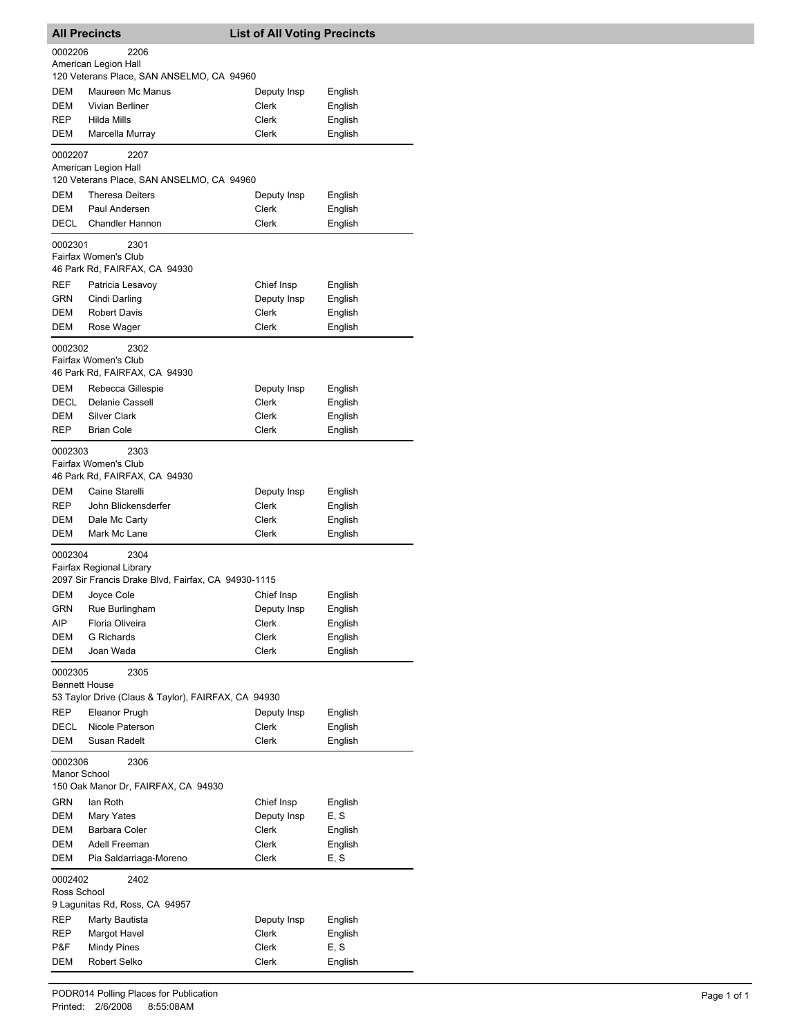| <b>All Precincts</b>            |                                                               | <b>List of All Voting Precincts</b> |         |
|---------------------------------|---------------------------------------------------------------|-------------------------------------|---------|
| 0002206                         | 2206                                                          |                                     |         |
|                                 | American Legion Hall                                          |                                     |         |
|                                 | 120 Veterans Place, SAN ANSELMO, CA 94960                     |                                     |         |
| DEM                             | Maureen Mc Manus                                              | Deputy Insp                         | English |
| DEM                             | Vivian Berliner                                               | Clerk                               | English |
| REP                             | Hilda Mills                                                   | Clerk                               | English |
| DEM                             | Marcella Murray                                               | Clerk                               | English |
| 0002207                         | 2207<br>American Legion Hall                                  |                                     |         |
|                                 | 120 Veterans Place, SAN ANSELMO, CA 94960                     |                                     |         |
| DEM                             | <b>Theresa Deiters</b>                                        | Deputy Insp                         | English |
| DEM                             | Paul Andersen                                                 | Clerk                               | English |
| DECL                            | <b>Chandler Hannon</b>                                        | Clerk                               | English |
|                                 |                                                               |                                     |         |
| 0002301                         | 2301                                                          |                                     |         |
|                                 | Fairfax Women's Club                                          |                                     |         |
|                                 | 46 Park Rd, FAIRFAX, CA 94930                                 |                                     |         |
| REF                             | Patricia Lesavoy                                              | Chief Insp                          | English |
| GRN                             | Cindi Darling                                                 | Deputy Insp                         | English |
| DEM                             | <b>Robert Davis</b>                                           | Clerk                               | English |
| DEM                             | Rose Wager                                                    | Clerk                               | English |
| 0002302                         | 2302<br>Fairfax Women's Club<br>46 Park Rd, FAIRFAX, CA 94930 |                                     |         |
| DEM                             | Rebecca Gillespie                                             | Deputy Insp                         | English |
| <b>DECL</b>                     | Delanie Cassell                                               | Clerk                               | English |
| DEM                             | <b>Silver Clark</b>                                           | Clerk                               | English |
| <b>REP</b>                      | <b>Brian Cole</b>                                             | Clerk                               | English |
|                                 |                                                               |                                     |         |
| 0002303                         | 2303<br>Fairfax Women's Club<br>46 Park Rd, FAIRFAX, CA 94930 |                                     |         |
| DEM                             | Caine Starelli                                                | Deputy Insp                         | English |
| REP                             | John Blickensderfer                                           | Clerk                               | English |
| DEM                             | Dale Mc Carty                                                 | Clerk                               | English |
| DEM                             | Mark Mc Lane                                                  | Clerk                               | English |
| 0002304                         | 2304<br>Fairfax Regional Library                              |                                     |         |
|                                 | 2097 Sir Francis Drake Blvd, Fairfax, CA 94930-1115           |                                     |         |
| DEM                             | Joyce Cole                                                    | Chief Insp                          | English |
| GRN                             | Rue Burlingham                                                | Deputy Insp                         | English |
| AIP                             | Floria Oliveira                                               | Clerk                               | English |
| DEM                             | <b>G</b> Richards                                             | Clerk                               | English |
| DEM                             | Joan Wada                                                     | Clerk                               | English |
| 0002305<br><b>Bennett House</b> | 2305                                                          |                                     |         |
|                                 | 53 Taylor Drive (Claus & Taylor), FAIRFAX, CA 94930           |                                     |         |
| REP                             | Eleanor Prugh                                                 | Deputy Insp                         | English |
| DECL                            | Nicole Paterson                                               | Clerk                               | English |
| DEM<br>0002306<br>Manor School  | Susan Radelt<br>2306                                          | Clerk                               | English |
|                                 | 150 Oak Manor Dr, FAIRFAX, CA 94930                           |                                     |         |
| GRN                             | lan Roth                                                      | Chief Insp                          | English |
| DEM                             | Mary Yates                                                    | Deputy Insp                         | E, S    |
| DEM                             | Barbara Coler                                                 | Clerk                               | English |
| DEM                             | Adell Freeman                                                 | Clerk                               | English |
| DEM                             | Pia Saldarriaga-Moreno                                        | Clerk                               | E, S    |
|                                 |                                                               |                                     |         |
| 0002402<br>Ross School          | 2402                                                          |                                     |         |
|                                 | 9 Lagunitas Rd, Ross, CA 94957                                |                                     |         |
| REP                             | Marty Bautista                                                | Deputy Insp                         | English |
| REP                             | Margot Havel                                                  | Clerk                               | English |
| P&F                             | <b>Mindy Pines</b>                                            | Clerk                               | E, S    |
| DEM                             | Robert Selko                                                  | Clerk                               | English |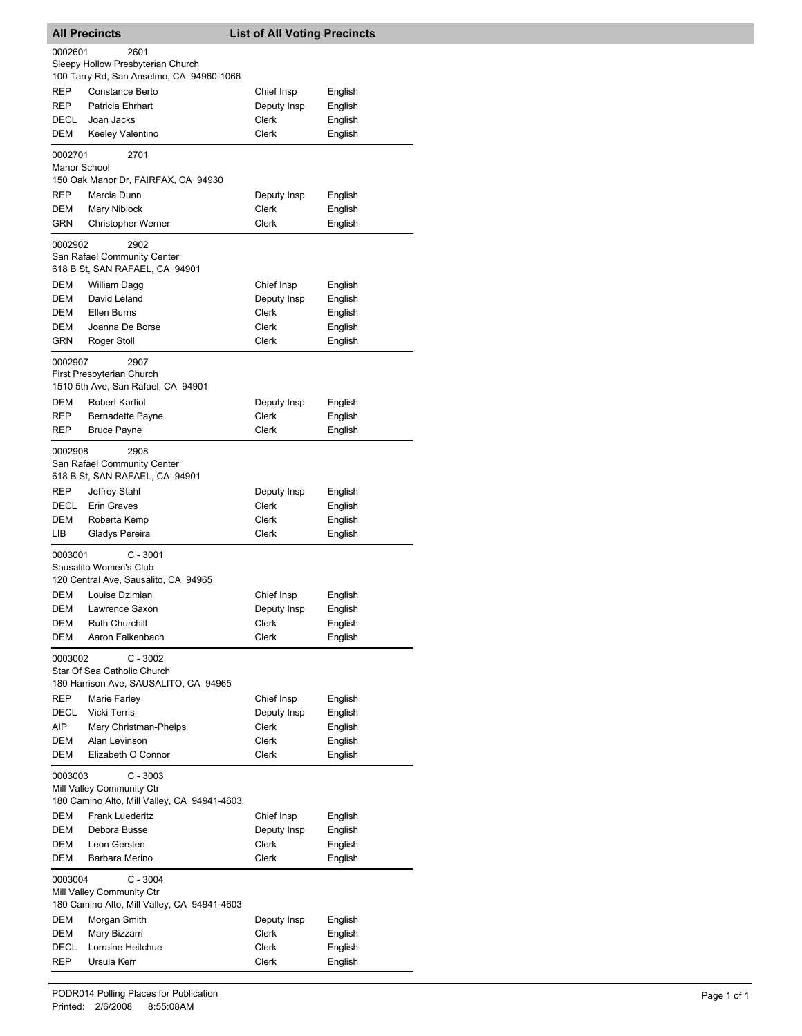| <b>All Precincts</b>    |                                                                                        | <b>List of All Voting Precincts</b> |                    |
|-------------------------|----------------------------------------------------------------------------------------|-------------------------------------|--------------------|
| 0002601                 | 2601<br>Sleepy Hollow Presbyterian Church<br>100 Tarry Rd, San Anselmo, CA 94960-1066  |                                     |                    |
| <b>REP</b><br>REP       | Constance Berto<br>Patricia Ehrhart                                                    | Chief Insp<br>Deputy Insp           | English<br>English |
| DECL<br>DEM             | Joan Jacks<br>Keeley Valentino                                                         | Clerk<br>Clerk                      | English<br>English |
| 0002701<br>Manor School | 2701<br>150 Oak Manor Dr, FAIRFAX, CA 94930                                            |                                     |                    |
| REP<br>DEM              | Marcia Dunn<br>Mary Niblock                                                            | Deputy Insp<br>Clerk                | English<br>English |
| GRN                     | Christopher Werner                                                                     | Clerk                               | English            |
| 0002902                 | 2902<br>San Rafael Community Center<br>618 B St, SAN RAFAEL, CA 94901                  |                                     |                    |
| DEM                     | William Dagg                                                                           | Chief Insp                          | English            |
| <b>DEM</b><br>DEM       | David Leland<br>Ellen Burns                                                            | Deputy Insp<br>Clerk                | English<br>English |
| <b>DEM</b>              | Joanna De Borse                                                                        | Clerk                               | English            |
| GRN                     | Roger Stoll                                                                            | Clerk                               | English            |
| 0002907                 | 2907<br>First Presbyterian Church<br>1510 5th Ave, San Rafael, CA 94901                |                                     |                    |
| DEM                     | Robert Karfiol                                                                         | Deputy Insp                         | English            |
| REP                     | Bernadette Payne                                                                       | Clerk                               | English            |
| REP                     | <b>Bruce Payne</b>                                                                     | Clerk                               | English            |
| 0002908                 | 2908<br>San Rafael Community Center<br>618 B St, SAN RAFAEL, CA 94901                  |                                     |                    |
| REP                     | Jeffrey Stahl                                                                          | Deputy Insp                         | English            |
| DECL<br><b>DEM</b>      | Erin Graves<br>Roberta Kemp                                                            | Clerk<br>Clerk                      | English            |
| LІВ                     | Gladys Pereira                                                                         | Clerk                               | English<br>English |
| 0003001                 | $C - 3001$<br>Sausalito Women's Club<br>120 Central Ave, Sausalito, CA 94965           |                                     |                    |
| DEM                     | Louise Dzimian                                                                         | Chief Insp                          | English            |
| DEM                     | Lawrence Saxon                                                                         | Deputy Insp                         | English            |
| DEM                     | Ruth Churchill                                                                         | Clerk                               | English            |
| DEM                     | Aaron Falkenbach                                                                       | Clerk                               | English            |
| 0003002                 | $C - 3002$<br>Star Of Sea Catholic Church<br>180 Harrison Ave, SAUSALITO, CA 94965     |                                     |                    |
| <b>REP</b>              | Marie Farley                                                                           | Chief Insp                          | English            |
| DECL<br>AIP             | <b>Vicki Terris</b>                                                                    | Deputy Insp                         | English            |
| DEM                     | Mary Christman-Phelps<br>Alan Levinson                                                 | Clerk<br>Clerk                      | English<br>English |
| DEM                     | Elizabeth O Connor                                                                     | Clerk                               | English            |
| 0003003                 | $C - 3003$<br>Mill Valley Community Ctr<br>180 Camino Alto, Mill Valley, CA 94941-4603 |                                     |                    |
| DEM                     | Frank Luederitz                                                                        | Chief Insp                          | English            |
| DEM                     | Debora Busse                                                                           | Deputy Insp                         | English            |
| DEM<br>DEM              | Leon Gersten<br>Barbara Merino                                                         | Clerk<br>Clerk                      | English<br>English |
| 0003004                 | $C - 3004$<br>Mill Valley Community Ctr                                                |                                     |                    |
|                         | 180 Camino Alto, Mill Valley, CA 94941-4603                                            |                                     |                    |
| DEM<br>DEM              | Morgan Smith<br>Mary Bizzarri                                                          | Deputy Insp<br>Clerk                | English<br>English |
| DECL                    | Lorraine Heitchue                                                                      | Clerk                               | English            |
| REP                     | Ursula Kerr                                                                            | Clerk                               | English            |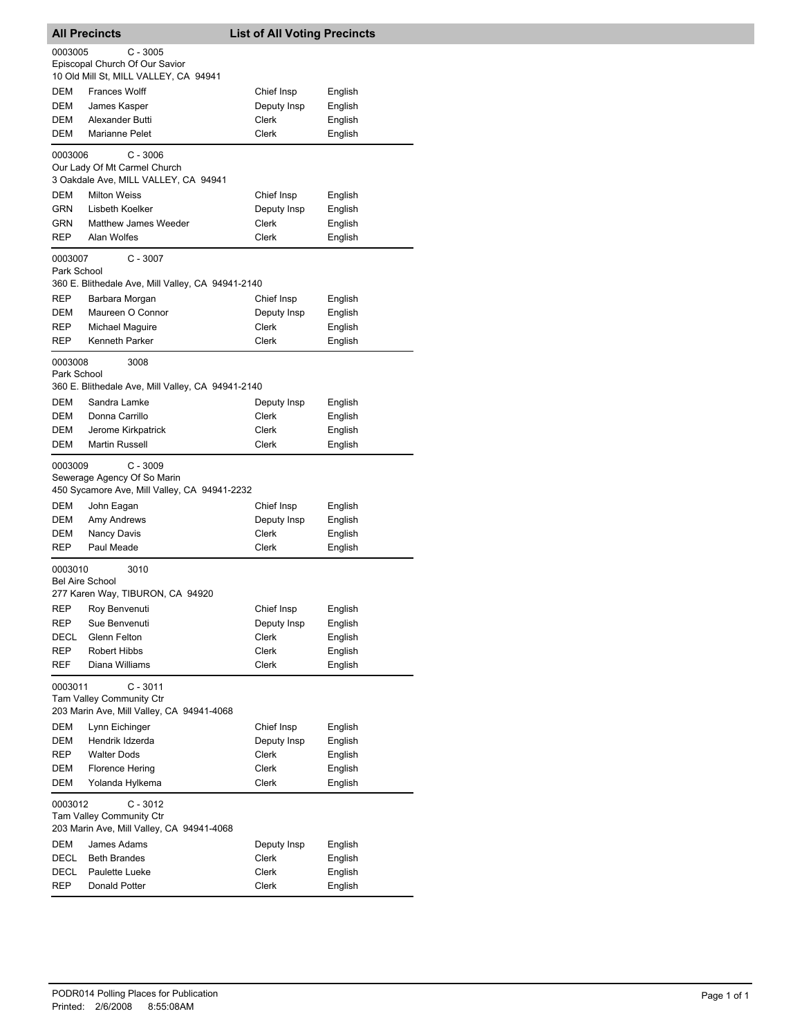| <b>All Precincts</b>   |                                                                                           | <b>List of All Voting Precincts</b> |         |
|------------------------|-------------------------------------------------------------------------------------------|-------------------------------------|---------|
| 0003005                | C - 3005                                                                                  |                                     |         |
|                        | Episcopal Church Of Our Savior                                                            |                                     |         |
|                        | 10 Old Mill St, MILL VALLEY, CA 94941                                                     |                                     |         |
| DEM                    | <b>Frances Wolff</b>                                                                      | Chief Insp                          | English |
| DEM                    | James Kasper                                                                              | Deputy Insp                         | English |
| DEM<br>DEM             | Alexander Butti<br><b>Marianne Pelet</b>                                                  | Clerk<br>Clerk                      | English |
|                        |                                                                                           |                                     | English |
| 0003006                | $C - 3006$<br>Our Lady Of Mt Carmel Church                                                |                                     |         |
|                        | 3 Oakdale Ave, MILL VALLEY, CA 94941                                                      |                                     |         |
| DEM                    | <b>Milton Weiss</b>                                                                       | Chief Insp                          | English |
| GRN                    | Lisbeth Koelker                                                                           | Deputy Insp                         | English |
| GRN                    | Matthew James Weeder                                                                      | Clerk                               | English |
| REP                    | Alan Wolfes                                                                               | Clerk                               | English |
| 0003007                | $C - 3007$                                                                                |                                     |         |
| Park School            | 360 E. Blithedale Ave, Mill Valley, CA 94941-2140                                         |                                     |         |
| REP                    | Barbara Morgan                                                                            | Chief Insp                          | English |
| DEM                    | Maureen O Connor                                                                          | Deputy Insp                         | English |
| REP                    | Michael Maguire                                                                           | Clerk                               | English |
| REP                    | Kenneth Parker                                                                            | Clerk                               | English |
|                        |                                                                                           |                                     |         |
| 0003008<br>Park School | 3008                                                                                      |                                     |         |
|                        | 360 E. Blithedale Ave, Mill Valley, CA 94941-2140                                         |                                     |         |
| DEM                    | Sandra Lamke                                                                              | Deputy Insp                         | English |
| DEM                    | Donna Carrillo                                                                            | Clerk                               | English |
| DEM                    | Jerome Kirkpatrick                                                                        | Clerk                               | English |
| DEM                    | <b>Martin Russell</b>                                                                     | Clerk                               | English |
| 0003009                | $C - 3009$<br>Sewerage Agency Of So Marin<br>450 Sycamore Ave, Mill Valley, CA 94941-2232 |                                     |         |
| DEM                    | John Eagan                                                                                | Chief Insp                          | English |
| DEM                    | Amy Andrews                                                                               | Deputy Insp                         | English |
| DEM                    | Nancy Davis                                                                               | Clerk                               | English |
| REP                    | Paul Meade                                                                                | <b>Clerk</b>                        | English |
| 0003010                | 3010                                                                                      |                                     |         |
| <b>Bel Aire School</b> | 277 Karen Way, TIBURON, CA 94920                                                          |                                     |         |
| REP                    | Roy Benvenuti                                                                             | Chief Insp                          | English |
| REP                    | Sue Benvenuti                                                                             | Deputy Insp                         | English |
| DECL                   | Glenn Felton                                                                              | Clerk                               | English |
| REP                    | Robert Hibbs                                                                              | Clerk                               | English |
| REF                    | Diana Williams                                                                            | Clerk                               | English |
| 0003011                | $C - 3011$<br>Tam Valley Community Ctr<br>203 Marin Ave, Mill Valley, CA 94941-4068       |                                     |         |
| DEM                    | Lynn Eichinger                                                                            | Chief Insp                          | English |
| DEM                    | Hendrik Idzerda                                                                           | Deputy Insp                         | English |
| REP                    | <b>Walter Dods</b>                                                                        | Clerk                               | English |
| DEM                    | <b>Florence Hering</b>                                                                    | Clerk                               | English |
| DEM                    | Yolanda Hylkema                                                                           | Clerk                               | English |
| 0003012                | $C - 3012$                                                                                |                                     |         |
|                        | <b>Tam Valley Community Ctr</b><br>203 Marin Ave, Mill Valley, CA 94941-4068              |                                     |         |
| DEM                    | James Adams                                                                               | Deputy Insp                         | English |
| DECL                   | <b>Beth Brandes</b>                                                                       | Clerk                               | English |
| DECL                   | Paulette Lueke                                                                            | Clerk                               | English |
| REP                    | Donald Potter                                                                             | Clerk                               | English |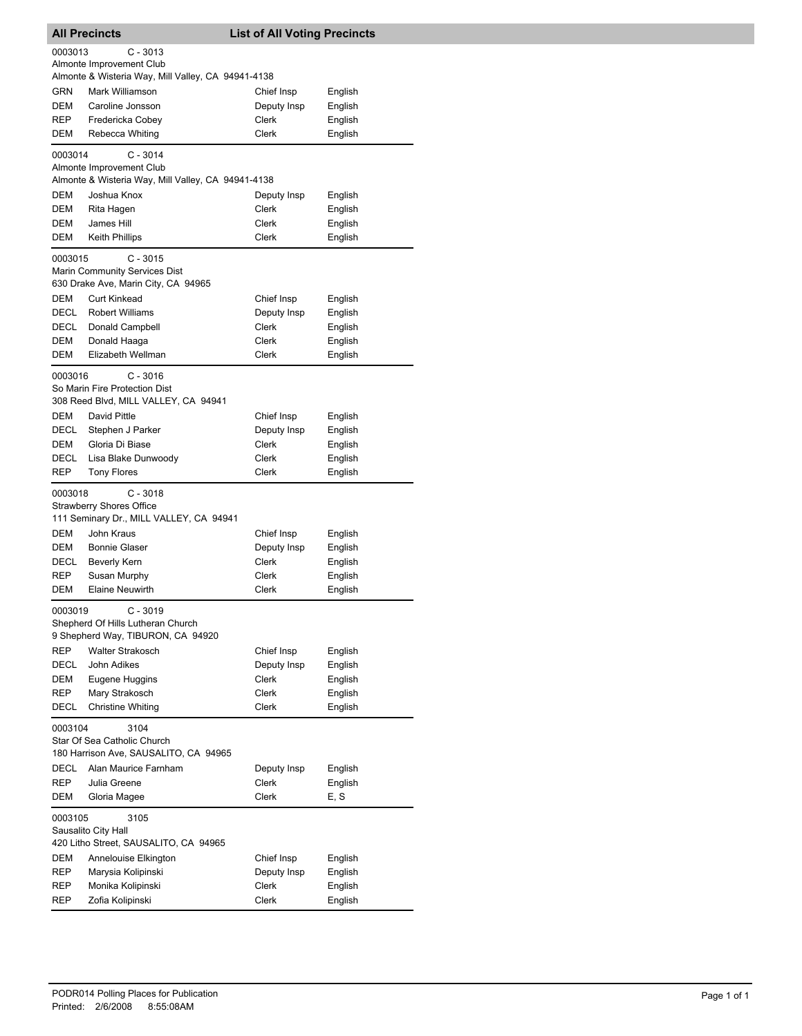|            | <b>All Precincts</b>                                                                         | <b>List of All Voting Precincts</b> |                    |
|------------|----------------------------------------------------------------------------------------------|-------------------------------------|--------------------|
| 0003013    | $C - 3013$<br>Almonte Improvement Club<br>Almonte & Wisteria Way, Mill Valley, CA 94941-4138 |                                     |                    |
| <b>GRN</b> | Mark Williamson                                                                              | Chief Insp                          | English            |
| DEM        | Caroline Jonsson                                                                             | Deputy Insp                         | English            |
| REP        | Fredericka Cobey                                                                             | Clerk                               | English            |
| DEM        | Rebecca Whiting                                                                              | Clerk                               | English            |
| 0003014    | $C - 3014$<br>Almonte Improvement Club                                                       |                                     |                    |
|            | Almonte & Wisteria Way, Mill Valley, CA 94941-4138                                           |                                     |                    |
| DEM        | Joshua Knox                                                                                  | Deputy Insp                         | English            |
| DEM        | Rita Hagen                                                                                   | Clerk                               | English            |
| DEM        | James Hill                                                                                   | Clerk                               | English            |
| DEM        | Keith Phillips                                                                               | Clerk                               | English            |
| 0003015    | $C - 3015$<br>Marin Community Services Dist<br>630 Drake Ave, Marin City, CA 94965           |                                     |                    |
| DEM        | <b>Curt Kinkead</b>                                                                          | Chief Insp                          | English            |
| DECL       | <b>Robert Williams</b>                                                                       | Deputy Insp                         | English            |
| DECL       | Donald Campbell                                                                              | Clerk                               | English            |
| DEM        | Donald Haaga                                                                                 | Clerk                               | English            |
| DEM        | Elizabeth Wellman                                                                            | <b>Clerk</b>                        | English            |
| 0003016    | $C - 3016$<br>So Marin Fire Protection Dist<br>308 Reed Blvd, MILL VALLEY, CA 94941          |                                     |                    |
| DEM        | David Pittle                                                                                 | Chief Insp                          | English            |
| DECL       | Stephen J Parker                                                                             | Deputy Insp                         | English            |
| DEM        | Gloria Di Biase                                                                              | Clerk                               | English            |
| DECL       | Lisa Blake Dunwoody                                                                          | Clerk                               | English            |
| REP        | <b>Tony Flores</b>                                                                           | <b>Clerk</b>                        | English            |
| 0003018    | $C - 3018$<br><b>Strawberry Shores Office</b><br>111 Seminary Dr., MILL VALLEY, CA 94941     |                                     |                    |
| DEM        | John Kraus                                                                                   | Chief Insp                          | English            |
| DEM        | <b>Bonnie Glaser</b>                                                                         | Deputy Insp                         | English            |
| DECL       | <b>Beverly Kern</b>                                                                          | Clerk                               | English            |
| <b>REP</b> | Susan Murphy                                                                                 | Clerk                               | English            |
| DEM        | <b>Elaine Neuwirth</b>                                                                       | Clerk                               | English            |
| 0003019    | $C - 3019$<br>Shepherd Of Hills Lutheran Church<br>9 Shepherd Way, TIBURON, CA 94920         |                                     |                    |
| REP        | <b>Walter Strakosch</b>                                                                      | Chief Insp                          | English            |
| DECL       | John Adikes                                                                                  | Deputy Insp                         | English            |
| DEM        | Eugene Huggins                                                                               | Clerk                               | English            |
| REP        | Mary Strakosch                                                                               | Clerk                               | English            |
| DECL       | Christine Whiting                                                                            | <b>Clerk</b>                        | English            |
| 0003104    | 3104<br>Star Of Sea Catholic Church                                                          |                                     |                    |
|            | 180 Harrison Ave, SAUSALITO, CA 94965                                                        |                                     |                    |
| DECL       | Alan Maurice Farnham                                                                         | Deputy Insp                         | English            |
| REP        | Julia Greene                                                                                 | Clerk                               | English            |
| DEM        | Gloria Magee                                                                                 | Clerk                               | E, S               |
| 0003105    | 3105<br>Sausalito City Hall                                                                  |                                     |                    |
|            | 420 Litho Street, SAUSALITO, CA 94965                                                        |                                     |                    |
| DEM        | Annelouise Elkington                                                                         | Chief Insp                          | English            |
| REP        | Marysia Kolipinski<br>Monika Kolipinski                                                      | Deputy Insp<br>Clerk                | English<br>English |
| REP<br>REP | Zofia Kolipinski                                                                             | Clerk                               | English            |
|            |                                                                                              |                                     |                    |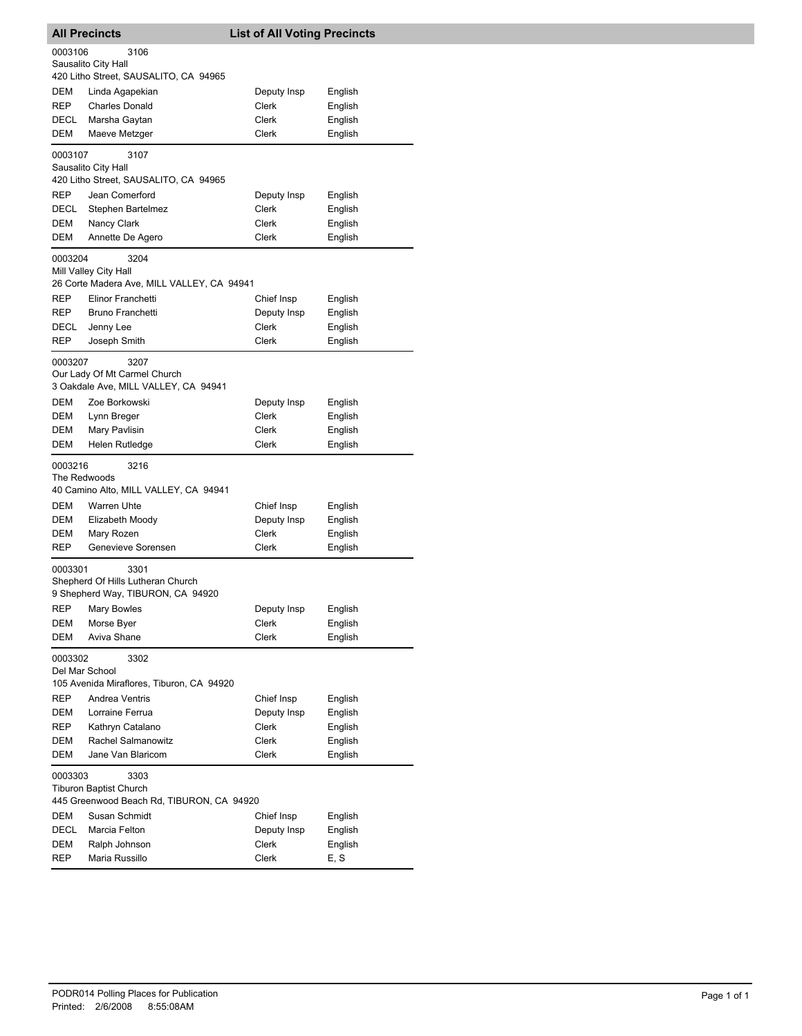|                         | <b>All Precincts</b>                                         | <b>List of All Voting Precincts</b> |                    |
|-------------------------|--------------------------------------------------------------|-------------------------------------|--------------------|
| 0003106                 | 3106                                                         |                                     |                    |
|                         | Sausalito City Hall                                          |                                     |                    |
|                         | 420 Litho Street, SAUSALITO, CA 94965                        |                                     |                    |
| DEM                     | Linda Agapekian                                              | Deputy Insp                         | English            |
| REP                     | <b>Charles Donald</b>                                        | Clerk                               | English            |
| DECL<br><b>DEM</b>      | Marsha Gaytan<br>Maeve Metzger                               | Clerk<br>Clerk                      | English<br>English |
|                         |                                                              |                                     |                    |
| 0003107                 | 3107                                                         |                                     |                    |
|                         | Sausalito City Hall<br>420 Litho Street, SAUSALITO, CA 94965 |                                     |                    |
| REP                     | Jean Comerford                                               | Deputy Insp                         | English            |
| DECL                    | Stephen Bartelmez                                            | Clerk                               | English            |
| DEM                     | Nancy Clark                                                  | Clerk                               | English            |
| DEM                     | Annette De Agero                                             | Clerk                               | English            |
| 0003204                 | 3204                                                         |                                     |                    |
|                         | Mill Valley City Hall                                        |                                     |                    |
|                         | 26 Corte Madera Ave, MILL VALLEY, CA 94941                   |                                     |                    |
| REP                     | Elinor Franchetti                                            | Chief Insp                          | English            |
| REP                     | Bruno Franchetti                                             | Deputy Insp                         | English            |
| DECL                    | Jenny Lee                                                    | <b>Clerk</b>                        | English            |
| REP                     | Joseph Smith                                                 | Clerk                               | English            |
| 0003207                 | 3207                                                         |                                     |                    |
|                         | Our Lady Of Mt Carmel Church                                 |                                     |                    |
|                         | 3 Oakdale Ave, MILL VALLEY, CA 94941                         |                                     |                    |
| <b>DEM</b>              | Zoe Borkowski                                                | Deputy Insp                         | English            |
| DEM<br>DEM              | Lynn Breger<br>Mary Pavlisin                                 | Clerk<br>Clerk                      | English            |
| DEM                     | Helen Rutledge                                               | Clerk                               | English<br>English |
|                         |                                                              |                                     |                    |
| 0003216<br>The Redwoods | 3216                                                         |                                     |                    |
|                         | 40 Camino Alto, MILL VALLEY, CA 94941                        |                                     |                    |
| DEM                     | Warren Uhte                                                  | Chief Insp                          | English            |
| DEM                     | Elizabeth Moody                                              | Deputy Insp                         | English            |
| DEM                     | Mary Rozen                                                   | Clerk                               | English            |
| REP                     | Genevieve Sorensen                                           | Clerk                               | English            |
| 0003301                 | 3301                                                         |                                     |                    |
|                         | Shepherd Of Hills Lutheran Church                            |                                     |                    |
|                         | 9 Shepherd Way, TIBURON, CA 94920                            |                                     |                    |
| <b>REP</b>              | <b>Mary Bowles</b>                                           | Deputy Insp                         | English            |
| DEM                     | Morse Byer                                                   | Clerk                               | English            |
| DEM                     | Aviva Shane                                                  | Clerk                               | English            |
| 0003302                 | 3302                                                         |                                     |                    |
| Del Mar School          |                                                              |                                     |                    |
|                         | 105 Avenida Miraflores, Tiburon, CA 94920                    |                                     |                    |
| <b>REP</b><br>DEM       | Andrea Ventris<br>Lorraine Ferrua                            | Chief Insp                          | English            |
| REP                     | Kathryn Catalano                                             | Deputy Insp<br><b>Clerk</b>         | English<br>English |
| DEM                     | Rachel Salmanowitz                                           | Clerk                               | English            |
| DEM                     | Jane Van Blaricom                                            | Clerk                               | English            |
|                         |                                                              |                                     |                    |
| 0003303                 | 3303<br><b>Tiburon Baptist Church</b>                        |                                     |                    |
|                         | 445 Greenwood Beach Rd, TIBURON, CA 94920                    |                                     |                    |
| DEM                     | Susan Schmidt                                                | Chief Insp                          | English            |
| DECL                    | Marcia Felton                                                | Deputy Insp                         | English            |
| DEM                     | Ralph Johnson                                                | Clerk                               | English            |
| REP                     | Maria Russillo                                               | Clerk                               | E, S               |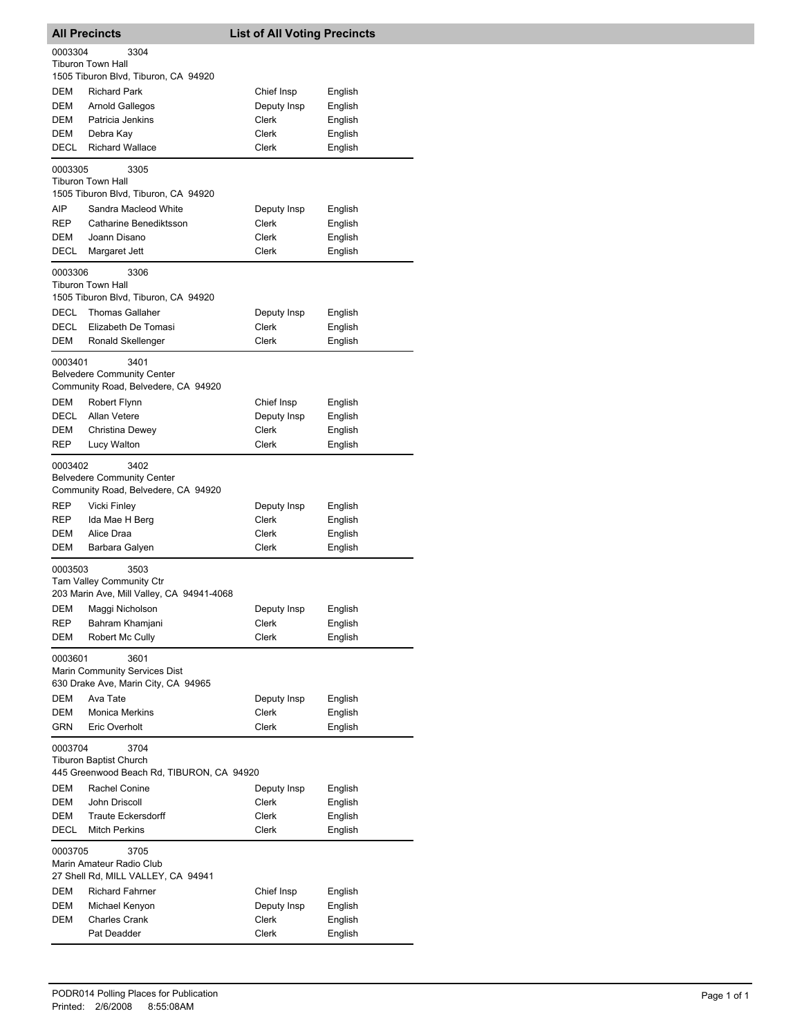| <b>All Precincts</b>                                                                          |                                                                                                                                                  | <b>List of All Voting Precincts</b>                  |                                                     |
|-----------------------------------------------------------------------------------------------|--------------------------------------------------------------------------------------------------------------------------------------------------|------------------------------------------------------|-----------------------------------------------------|
| 0003304                                                                                       | 3304<br><b>Tiburon Town Hall</b>                                                                                                                 |                                                      |                                                     |
| DEM<br>DEM<br>DEM<br>DEM<br>DECL                                                              | 1505 Tiburon Blvd, Tiburon, CA 94920<br><b>Richard Park</b><br><b>Arnold Gallegos</b><br>Patricia Jenkins<br>Debra Kay<br><b>Richard Wallace</b> | Chief Insp<br>Deputy Insp<br>Clerk<br>Clerk<br>Clerk | English<br>English<br>English<br>English<br>English |
| 0003305                                                                                       | 3305<br><b>Tiburon Town Hall</b><br>1505 Tiburon Blvd, Tiburon, CA 94920                                                                         |                                                      |                                                     |
| AIP<br>REP<br>DEM<br>DECL                                                                     | Sandra Macleod White<br>Catharine Benediktsson<br>Joann Disano<br>Margaret Jett                                                                  | Deputy Insp<br>Clerk<br>Clerk<br>Clerk               | English<br>English<br>English<br>English            |
| 0003306                                                                                       | 3306<br><b>Tiburon Town Hall</b><br>1505 Tiburon Blvd, Tiburon, CA 94920                                                                         |                                                      |                                                     |
| DECL<br>DECL<br>DEM                                                                           | <b>Thomas Gallaher</b><br>Elizabeth De Tomasi<br>Ronald Skellenger                                                                               | Deputy Insp<br>Clerk<br>Clerk                        | English<br>English<br>English                       |
| 0003401                                                                                       | 3401<br><b>Belvedere Community Center</b><br>Community Road, Belvedere, CA 94920                                                                 |                                                      |                                                     |
| DEM<br>DECL<br>DEM<br>REP                                                                     | Robert Flynn<br>Allan Vetere<br>Christina Dewey<br>Lucy Walton                                                                                   | Chief Insp<br>Deputy Insp<br>Clerk<br>Clerk          | English<br>English<br>English<br>English            |
| 0003402<br>3402<br><b>Belvedere Community Center</b><br>Community Road, Belvedere, CA 94920   |                                                                                                                                                  |                                                      |                                                     |
| REP<br>REP<br>DEM<br>DEM                                                                      | Vicki Finley<br>Ida Mae H Berg<br>Alice Draa<br>Barbara Galyen                                                                                   | Deputy Insp<br>Clerk<br>Clerk<br>Clerk               | English<br>English<br>English<br>English            |
| 0003503                                                                                       | 3503<br>Tam Valley Community Ctr<br>203 Marin Ave, Mill Valley, CA 94941-4068                                                                    |                                                      |                                                     |
| <b>REP</b><br>DEM                                                                             | DEM Maggi Nicholson<br>Bahram Khamjani<br>Robert Mc Cully                                                                                        | Deputy Insp<br>Clerk<br>Clerk                        | English<br>English<br>English                       |
| 0003601<br>3601<br>Marin Community Services Dist<br>630 Drake Ave, Marin City, CA 94965       |                                                                                                                                                  |                                                      |                                                     |
| DEM<br>DEM<br><b>GRN</b>                                                                      | Ava Tate<br><b>Monica Merkins</b><br>Eric Overholt                                                                                               | Deputy Insp<br>Clerk<br>Clerk                        | English<br>English<br>English                       |
| 0003704<br>3704<br><b>Tiburon Baptist Church</b><br>445 Greenwood Beach Rd, TIBURON, CA 94920 |                                                                                                                                                  |                                                      |                                                     |
| DEM<br>DEM<br>DEM<br>DECL                                                                     | Rachel Conine<br>John Driscoll<br><b>Traute Eckersdorff</b><br><b>Mitch Perkins</b>                                                              | Deputy Insp<br>Clerk<br>Clerk<br>Clerk               | English<br>English<br>English<br>English            |
| 0003705                                                                                       | 3705<br>Marin Amateur Radio Club<br>27 Shell Rd, MILL VALLEY, CA 94941                                                                           |                                                      |                                                     |
| DEM<br>DEM<br>DEM                                                                             | <b>Richard Fahrner</b><br>Michael Kenyon<br><b>Charles Crank</b><br>Pat Deadder                                                                  | Chief Insp<br>Deputy Insp<br>Clerk<br>Clerk          | English<br>English<br>English<br>English            |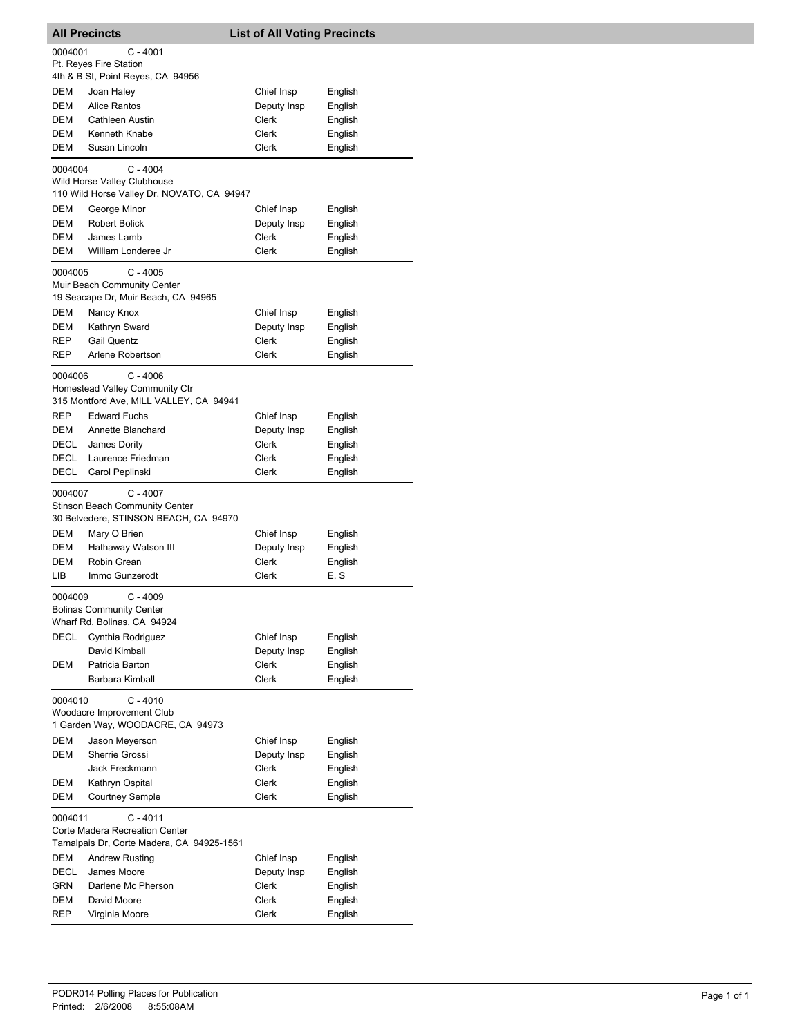|              | <b>All Precincts</b>                                                                         | <b>List of All Voting Precincts</b> |                    |
|--------------|----------------------------------------------------------------------------------------------|-------------------------------------|--------------------|
| 0004001      | C - 4001                                                                                     |                                     |                    |
|              | Pt. Reyes Fire Station                                                                       |                                     |                    |
|              | 4th & B St, Point Reyes, CA 94956                                                            |                                     |                    |
| DEM<br>DEM   | Joan Haley<br><b>Alice Rantos</b>                                                            | Chief Insp<br>Deputy Insp           | English            |
| DEM          | <b>Cathleen Austin</b>                                                                       | Clerk                               | English<br>English |
| <b>DEM</b>   | Kenneth Knabe                                                                                | Clerk                               | English            |
| DEM          | Susan Lincoln                                                                                | Clerk                               | English            |
|              |                                                                                              |                                     |                    |
| 0004004      | $C - 4004$<br>Wild Horse Valley Clubhouse<br>110 Wild Horse Valley Dr, NOVATO, CA 94947      |                                     |                    |
| DEM          | George Minor                                                                                 | Chief Insp                          | English            |
| DEM          | <b>Robert Bolick</b>                                                                         | Deputy Insp                         | English            |
| DEM          | James Lamb                                                                                   | Clerk                               | English            |
| DEM          | William Londeree Jr                                                                          | Clerk                               | English            |
| 0004005      | C - 4005<br>Muir Beach Community Center<br>19 Seacape Dr, Muir Beach, CA 94965               |                                     |                    |
| <b>DEM</b>   | Nancy Knox                                                                                   | Chief Insp                          | English            |
| DEM          | Kathryn Sward                                                                                | Deputy Insp                         | English            |
| REP          | <b>Gail Quentz</b>                                                                           | Clerk                               | English            |
| REP          | Arlene Robertson                                                                             | Clerk                               | English            |
| 0004006      | $C - 4006$<br>Homestead Valley Community Ctr<br>315 Montford Ave, MILL VALLEY, CA 94941      |                                     |                    |
| REP          | <b>Edward Fuchs</b>                                                                          | Chief Insp                          | English            |
| <b>DEM</b>   | Annette Blanchard                                                                            | Deputy Insp                         | English            |
| DECL         | James Dority                                                                                 | Clerk                               | English            |
| DECL<br>DECL | Laurence Friedman                                                                            | Clerk<br>Clerk                      | English            |
|              | Carol Peplinski                                                                              |                                     | English            |
| 0004007      | $C - 4007$<br><b>Stinson Beach Community Center</b><br>30 Belvedere, STINSON BEACH, CA 94970 |                                     |                    |
| DEM          | Mary O Brien                                                                                 | Chief Insp                          | English            |
| DEM          | Hathaway Watson III                                                                          | Deputy Insp                         | English            |
| DEM          | Robin Grean                                                                                  | Clerk                               | English            |
| LIB.         | Immo Gunzerodt                                                                               | Clerk                               | E, S               |
| 0004009      | C - 4009<br><b>Bolinas Community Center</b><br>Wharf Rd, Bolinas, CA 94924                   |                                     |                    |
| DECL         | Cynthia Rodriguez                                                                            | Chief Insp                          | English            |
|              | David Kimball                                                                                | Deputy Insp                         | English            |
| DEM          | Patricia Barton                                                                              | Clerk                               | English            |
|              | Barbara Kimball                                                                              | Clerk                               | English            |
| 0004010      | $C - 4010$<br>Woodacre Improvement Club<br>1 Garden Way, WOODACRE, CA 94973                  |                                     |                    |
| DEM          | Jason Meyerson                                                                               | Chief Insp                          | English            |
| DEM          | Sherrie Grossi                                                                               | Deputy Insp                         | English            |
|              | Jack Freckmann                                                                               | Clerk                               | English            |
| DEM          | Kathryn Ospital                                                                              | Clerk                               | English            |
| DEM          | <b>Courtney Semple</b>                                                                       | Clerk                               | English            |
| 0004011      | $C - 4011$<br>Corte Madera Recreation Center<br>Tamalpais Dr, Corte Madera, CA 94925-1561    |                                     |                    |
| DEM          | <b>Andrew Rusting</b>                                                                        | Chief Insp                          | English            |
| <b>DECL</b>  | James Moore                                                                                  | Deputy Insp                         | English            |
| <b>GRN</b>   | Darlene Mc Pherson                                                                           | Clerk                               | English            |
| DEM          | David Moore                                                                                  | Clerk                               | English            |
| REP          | Virginia Moore                                                                               | Clerk                               | English            |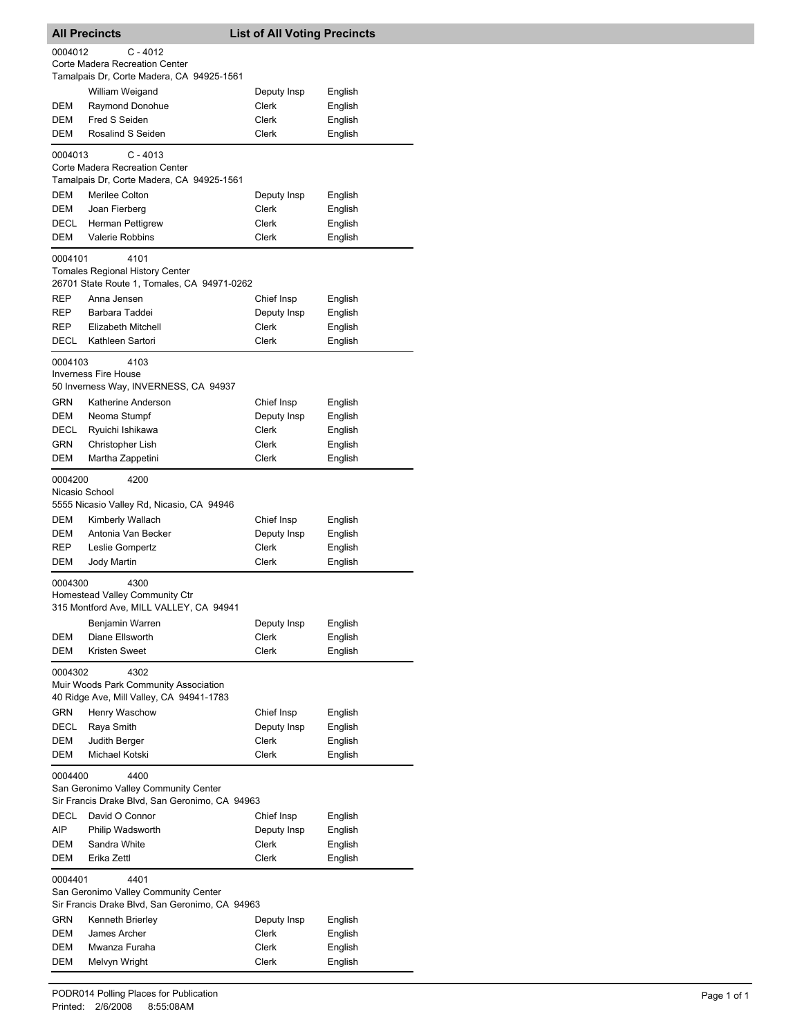|                                                                                                           | <b>All Precincts</b>                                                                           | <b>List of All Voting Precincts</b> |                    |  |
|-----------------------------------------------------------------------------------------------------------|------------------------------------------------------------------------------------------------|-------------------------------------|--------------------|--|
| 0004012<br>C - 4012<br>Corte Madera Recreation Center                                                     |                                                                                                |                                     |                    |  |
|                                                                                                           | Tamalpais Dr, Corte Madera, CA 94925-1561                                                      |                                     |                    |  |
|                                                                                                           | William Weigand                                                                                | Deputy Insp                         | English            |  |
| DEM                                                                                                       | Raymond Donohue                                                                                | Clerk                               | English            |  |
| DEM                                                                                                       | Fred S Seiden                                                                                  | Clerk                               | English            |  |
| DEM                                                                                                       | Rosalind S Seiden                                                                              | <b>Clerk</b>                        | English            |  |
| 0004013                                                                                                   | $C - 4013$<br>Corte Madera Recreation Center                                                   |                                     |                    |  |
|                                                                                                           | Tamalpais Dr, Corte Madera, CA 94925-1561                                                      |                                     |                    |  |
| DEM<br>DEM                                                                                                | Merilee Colton                                                                                 | Deputy Insp<br>Clerk                | English<br>English |  |
| DECL                                                                                                      | Joan Fierberg<br><b>Herman Pettigrew</b>                                                       | Clerk                               | English            |  |
| <b>DEM</b>                                                                                                | Valerie Robbins                                                                                | Clerk                               | English            |  |
|                                                                                                           |                                                                                                |                                     |                    |  |
| 0004101                                                                                                   | 4101<br><b>Tomales Regional History Center</b><br>26701 State Route 1, Tomales, CA 94971-0262  |                                     |                    |  |
| REP                                                                                                       | Anna Jensen                                                                                    | Chief Insp                          | English            |  |
| REP                                                                                                       | Barbara Taddei                                                                                 | Deputy Insp                         | English            |  |
| REP                                                                                                       | Elizabeth Mitchell                                                                             | Clerk                               | English            |  |
| DECL                                                                                                      | Kathleen Sartori                                                                               | Clerk                               | English            |  |
| 0004103                                                                                                   | 4103<br><b>Inverness Fire House</b>                                                            |                                     |                    |  |
|                                                                                                           | 50 Inverness Way, INVERNESS, CA 94937                                                          |                                     |                    |  |
| GRN<br>DEM                                                                                                | Katherine Anderson                                                                             | Chief Insp                          | English            |  |
| DECL                                                                                                      | Neoma Stumpf<br>Ryuichi Ishikawa                                                               | Deputy Insp<br>Clerk                | English<br>English |  |
| GRN                                                                                                       | Christopher Lish                                                                               | Clerk                               | English            |  |
| DEM                                                                                                       | Martha Zappetini                                                                               | Clerk                               | English            |  |
| 0004200<br>Nicasio School                                                                                 | 4200<br>5555 Nicasio Valley Rd, Nicasio, CA 94946                                              |                                     |                    |  |
| DEM                                                                                                       | Kimberly Wallach                                                                               | Chief Insp                          | English            |  |
| DEM                                                                                                       | Antonia Van Becker                                                                             | Deputy Insp                         | English            |  |
| REP                                                                                                       | Leslie Gompertz                                                                                | <b>Clerk</b>                        | English            |  |
| DEM                                                                                                       | <b>Jody Martin</b>                                                                             | Clerk                               | English            |  |
| 0004300                                                                                                   | 4300<br>Homestead Valley Community Ctr<br>315 Montford Ave, MILL VALLEY, CA 94941              |                                     |                    |  |
|                                                                                                           | Benjamin Warren                                                                                | Deputy Insp                         | English            |  |
| DEM                                                                                                       | Diane Ellsworth                                                                                | Clerk                               | English            |  |
| <b>DEM</b>                                                                                                | Kristen Sweet                                                                                  | Clerk                               | English            |  |
| 0004302<br>4302<br>Muir Woods Park Community Association<br>40 Ridge Ave, Mill Valley, CA 94941-1783      |                                                                                                |                                     |                    |  |
| GRN                                                                                                       | Henry Waschow                                                                                  | Chief Insp                          | English            |  |
| DECL                                                                                                      | Raya Smith                                                                                     | Deputy Insp                         | English            |  |
| DEM                                                                                                       | Judith Berger                                                                                  | Clerk                               | English            |  |
| DEM                                                                                                       | Michael Kotski                                                                                 | Clerk                               | English            |  |
| 0004400<br>4400<br>San Geronimo Valley Community Center<br>Sir Francis Drake Blvd, San Geronimo, CA 94963 |                                                                                                |                                     |                    |  |
| DECL                                                                                                      | David O Connor                                                                                 | Chief Insp                          | English            |  |
| AIP                                                                                                       | Philip Wadsworth                                                                               | Deputy Insp                         | English            |  |
| DEM                                                                                                       | Sandra White                                                                                   | <b>Clerk</b>                        | English            |  |
| DEM                                                                                                       | Erika Zettl                                                                                    | Clerk                               | English            |  |
| 0004401                                                                                                   | 4401<br>San Geronimo Valley Community Center<br>Sir Francis Drake Blvd, San Geronimo, CA 94963 |                                     |                    |  |
| <b>GRN</b>                                                                                                | Kenneth Brierley                                                                               | Deputy Insp                         | English            |  |
| DEM                                                                                                       | James Archer                                                                                   | Clerk                               | English            |  |
| DEM                                                                                                       | Mwanza Furaha                                                                                  | Clerk                               | English            |  |
| DEM                                                                                                       | Melvyn Wright                                                                                  | Clerk                               | English            |  |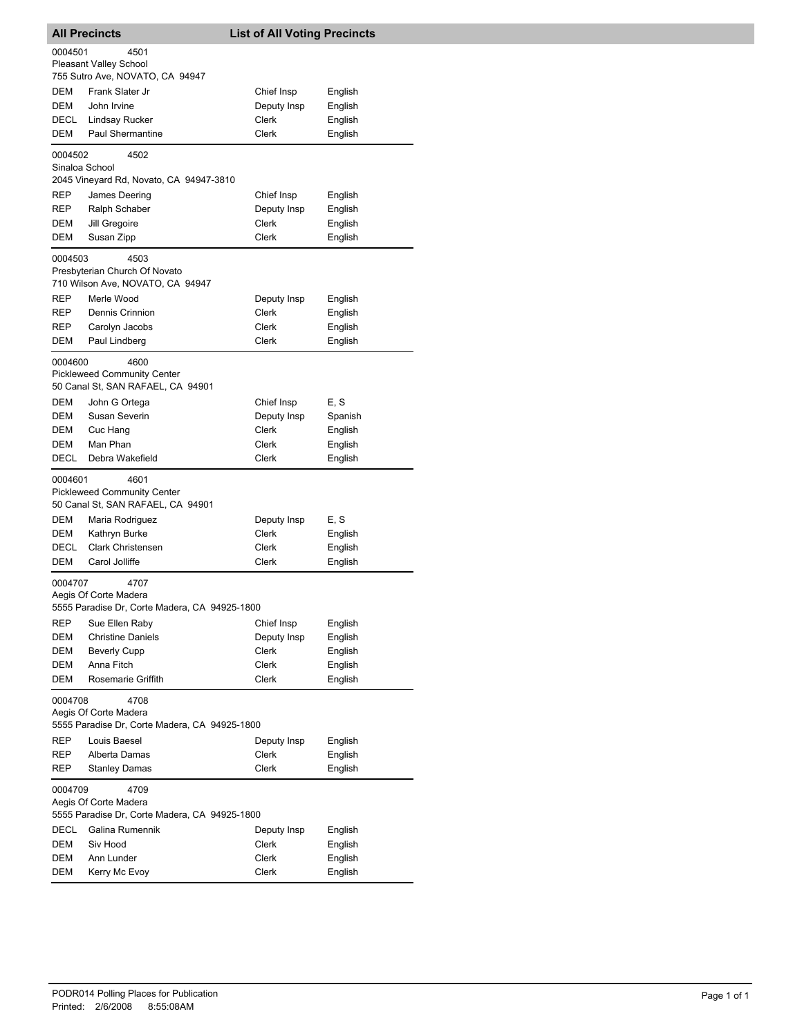| <b>All Precincts</b>                                                                       |                                                                        | <b>List of All Voting Precincts</b> |         |
|--------------------------------------------------------------------------------------------|------------------------------------------------------------------------|-------------------------------------|---------|
| 0004501                                                                                    | 4501<br>Pleasant Valley School<br>755 Sutro Ave, NOVATO, CA 94947      |                                     |         |
| <b>DEM</b>                                                                                 | Frank Slater Jr                                                        | Chief Insp                          | English |
| DEM                                                                                        | John Irvine                                                            | Deputy Insp                         | English |
| DECL                                                                                       | <b>Lindsay Rucker</b>                                                  | <b>Clerk</b>                        | English |
| DEM                                                                                        | <b>Paul Shermantine</b>                                                | <b>Clerk</b>                        | English |
| 0004502<br>Sinaloa School                                                                  | 4502                                                                   |                                     |         |
|                                                                                            | 2045 Vineyard Rd, Novato, CA 94947-3810                                |                                     |         |
| REP                                                                                        | James Deering                                                          | Chief Insp                          | English |
| REP                                                                                        | Ralph Schaber                                                          | Deputy Insp                         | English |
| DEM                                                                                        | Jill Gregoire                                                          | Clerk                               | English |
| DEM                                                                                        | Susan Zipp                                                             | Clerk                               | English |
| 0004503                                                                                    | 4503                                                                   |                                     |         |
|                                                                                            | Presbyterian Church Of Novato<br>710 Wilson Ave, NOVATO, CA 94947      |                                     |         |
| REP                                                                                        | Merle Wood                                                             | Deputy Insp                         | English |
| REP                                                                                        | Dennis Crinnion                                                        | <b>Clerk</b>                        | English |
| REP                                                                                        | Carolyn Jacobs                                                         | Clerk                               | English |
| DEM                                                                                        | Paul Lindberg                                                          | Clerk                               | English |
|                                                                                            | 4600                                                                   |                                     |         |
| 0004600                                                                                    | <b>Pickleweed Community Center</b>                                     |                                     |         |
|                                                                                            | 50 Canal St, SAN RAFAEL, CA 94901                                      |                                     |         |
| DEM                                                                                        | John G Ortega                                                          | Chief Insp                          | E, S    |
| DEM                                                                                        | Susan Severin                                                          | Deputy Insp                         | Spanish |
| DEM                                                                                        | Cuc Hang                                                               | Clerk                               | English |
| DEM                                                                                        | Man Phan                                                               | Clerk                               | English |
| DECL                                                                                       | Debra Wakefield                                                        | Clerk                               | English |
| 4601<br>0004601<br><b>Pickleweed Community Center</b><br>50 Canal St, SAN RAFAEL, CA 94901 |                                                                        |                                     |         |
| DEM                                                                                        | Maria Rodriguez                                                        | Deputy Insp                         | E, S    |
| DEM                                                                                        | Kathryn Burke                                                          | <b>Clerk</b>                        | English |
| <b>DECL</b>                                                                                | <b>Clark Christensen</b>                                               | Clerk                               | English |
| DEM                                                                                        | Carol Jolliffe                                                         | Clerk                               | English |
| 0004707                                                                                    | 4707                                                                   |                                     |         |
|                                                                                            | Aegis Of Corte Madera<br>5555 Paradise Dr. Corte Madera, CA 94925-1800 |                                     |         |
| REP                                                                                        | Sue Ellen Raby                                                         | Chief Insp                          | English |
| DEM                                                                                        | <b>Christine Daniels</b>                                               | Deputy Insp                         | English |
| <b>DEM</b>                                                                                 | <b>Beverly Cupp</b>                                                    | Clerk                               | English |
| DEM                                                                                        | Anna Fitch                                                             | <b>Clerk</b>                        | English |
| DEM                                                                                        | Rosemarie Griffith                                                     | <b>Clerk</b>                        | English |
| 0004708<br>4708<br>Aegis Of Corte Madera<br>5555 Paradise Dr, Corte Madera, CA 94925-1800  |                                                                        |                                     |         |
| REP                                                                                        | Louis Baesel                                                           | Deputy Insp                         | English |
| REP                                                                                        | Alberta Damas                                                          | Clerk                               | English |
| REP                                                                                        | <b>Stanley Damas</b>                                                   | Clerk                               | English |
| 0004709                                                                                    | 4709<br>Aegis Of Corte Madera                                          |                                     |         |
|                                                                                            | 5555 Paradise Dr, Corte Madera, CA 94925-1800                          |                                     |         |
| DECL                                                                                       | Galina Rumennik                                                        | Deputy Insp                         | English |
| DEM                                                                                        | Siv Hood                                                               | Clerk                               | English |
| DEM                                                                                        | Ann Lunder                                                             | Clerk                               | English |
| DEM                                                                                        | Kerry Mc Evoy                                                          | Clerk                               | English |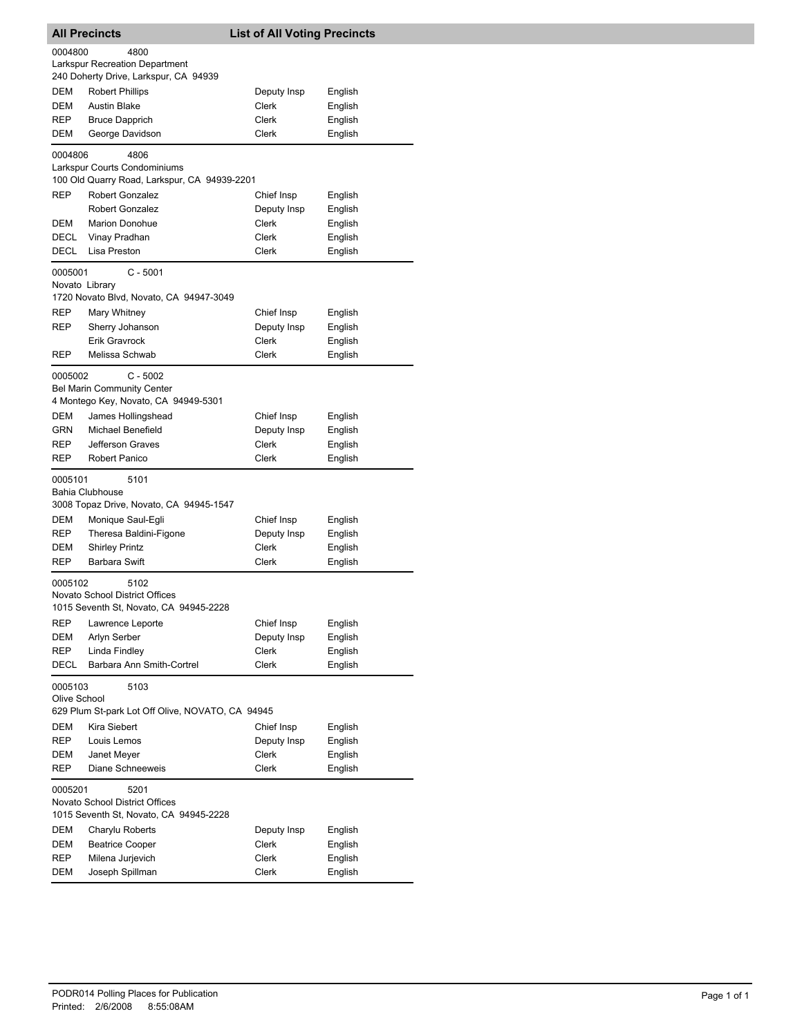|                                                          | <b>All Precincts</b>                                                                    | <b>List of All Voting Precincts</b> |                    |  |
|----------------------------------------------------------|-----------------------------------------------------------------------------------------|-------------------------------------|--------------------|--|
| 0004800<br>4800<br><b>Larkspur Recreation Department</b> |                                                                                         |                                     |                    |  |
|                                                          | 240 Doherty Drive, Larkspur, CA 94939                                                   |                                     |                    |  |
| DEM                                                      | <b>Robert Phillips</b>                                                                  | Deputy Insp                         | English            |  |
| DEM                                                      | <b>Austin Blake</b>                                                                     | Clerk                               | English            |  |
| REP                                                      | <b>Bruce Dapprich</b>                                                                   | Clerk                               | English            |  |
| DEM                                                      | George Davidson                                                                         | Clerk                               | English            |  |
| 0004806                                                  | 4806<br>Larkspur Courts Condominiums                                                    |                                     |                    |  |
|                                                          | 100 Old Quarry Road, Larkspur, CA 94939-2201                                            |                                     |                    |  |
| <b>REP</b>                                               | Robert Gonzalez                                                                         | Chief Insp                          | English            |  |
|                                                          | <b>Robert Gonzalez</b>                                                                  | Deputy Insp                         | English            |  |
| DEM                                                      | <b>Marion Donohue</b>                                                                   | Clerk                               | English            |  |
| DECL                                                     | Vinay Pradhan                                                                           | Clerk                               | English            |  |
| <b>DECL</b>                                              | Lisa Preston                                                                            | Clerk                               | English            |  |
| 0005001<br>Novato Library                                | $C - 5001$                                                                              |                                     |                    |  |
|                                                          | 1720 Novato Blvd, Novato, CA 94947-3049                                                 |                                     |                    |  |
| REP                                                      | Mary Whitney                                                                            | Chief Insp                          | English            |  |
| REP                                                      | Sherry Johanson<br><b>Erik Gravrock</b>                                                 | Deputy Insp<br>Clerk                | English<br>English |  |
| REP                                                      | Melissa Schwab                                                                          | <b>Clerk</b>                        | English            |  |
|                                                          |                                                                                         |                                     |                    |  |
| 0005002                                                  | $C - 5002$<br><b>Bel Marin Community Center</b><br>4 Montego Key, Novato, CA 94949-5301 |                                     |                    |  |
| DEM                                                      | James Hollingshead                                                                      | Chief Insp                          | English            |  |
| <b>GRN</b>                                               | Michael Benefield                                                                       | Deputy Insp                         | English            |  |
| REP                                                      | Jefferson Graves                                                                        | <b>Clerk</b>                        | English            |  |
| REP                                                      | Robert Panico                                                                           | Clerk                               | English            |  |
| 0005101                                                  | 5101<br>Bahia Clubhouse                                                                 |                                     |                    |  |
|                                                          | 3008 Topaz Drive, Novato, CA 94945-1547                                                 |                                     |                    |  |
| DEM                                                      | Monique Saul-Egli                                                                       | Chief Insp                          | English            |  |
| <b>REP</b>                                               | Theresa Baldini-Figone                                                                  | Deputy Insp                         | English            |  |
| <b>DEM</b>                                               | <b>Shirley Printz</b><br><b>Barbara Swift</b>                                           | Clerk<br>Clerk                      | English            |  |
| REP<br>0005102                                           | 5102                                                                                    |                                     | English            |  |
|                                                          | Novato School District Offices                                                          |                                     |                    |  |
|                                                          | 1015 Seventh St, Novato, CA 94945-2228                                                  |                                     |                    |  |
| REP                                                      | Lawrence Leporte                                                                        | Chief Insp                          | English            |  |
| DEM                                                      | Arlyn Serber                                                                            | Deputy Insp                         | English            |  |
| REP                                                      | Linda Findley                                                                           | Clerk                               | English            |  |
| DECL                                                     | Barbara Ann Smith-Cortrel                                                               | Clerk                               | English            |  |
| 0005103<br>Olive School                                  | 5103                                                                                    |                                     |                    |  |
|                                                          | 629 Plum St-park Lot Off Olive, NOVATO, CA 94945                                        |                                     |                    |  |
| DEM                                                      | Kira Siebert                                                                            | Chief Insp                          | English            |  |
| REP                                                      | Louis Lemos                                                                             | Deputy Insp                         | English            |  |
| DEM                                                      | Janet Meyer                                                                             | Clerk                               | English            |  |
| REP                                                      | Diane Schneeweis                                                                        | Clerk                               | English            |  |
| 0005201                                                  | 5201<br>Novato School District Offices<br>1015 Seventh St, Novato, CA 94945-2228        |                                     |                    |  |
| DEM                                                      | Charylu Roberts                                                                         | Deputy Insp                         | English            |  |
| <b>DEM</b>                                               | <b>Beatrice Cooper</b>                                                                  | Clerk                               | English            |  |
| REP                                                      | Milena Jurjevich                                                                        | Clerk                               | English            |  |
| DEM                                                      | Joseph Spillman                                                                         | Clerk                               | English            |  |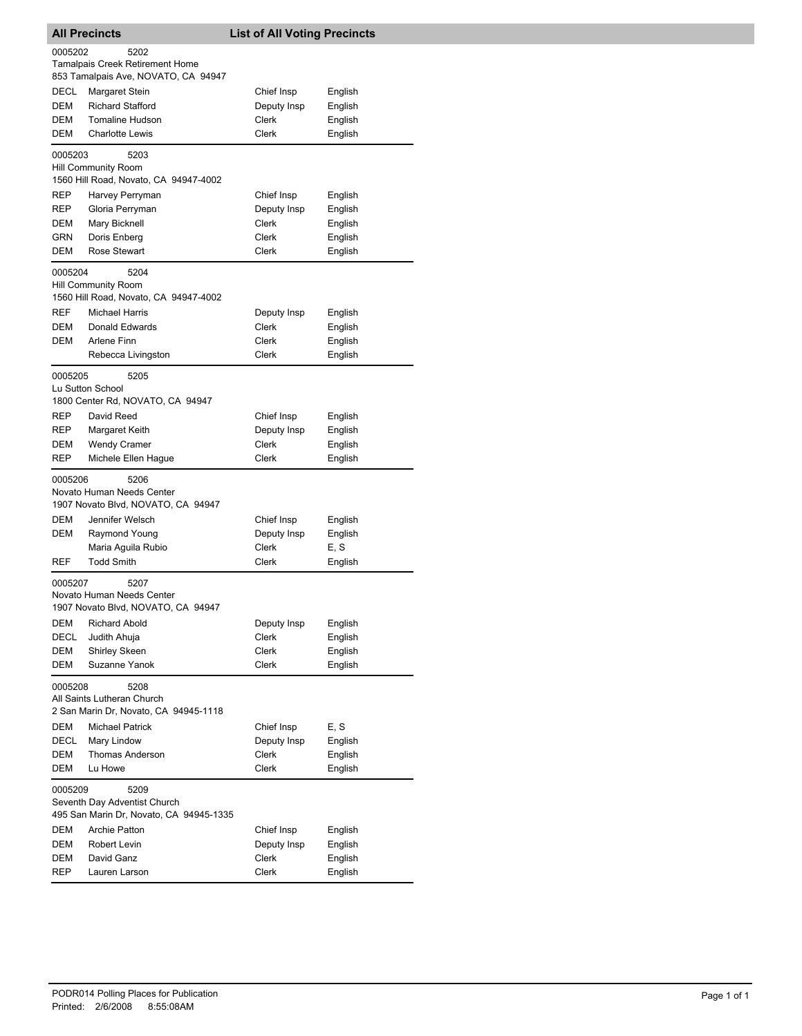| <b>All Precincts</b> |                                                                             | <b>List of All Voting Precincts</b> |         |  |
|----------------------|-----------------------------------------------------------------------------|-------------------------------------|---------|--|
| 0005202              | 5202                                                                        |                                     |         |  |
|                      | <b>Tamalpais Creek Retirement Home</b>                                      |                                     |         |  |
|                      | 853 Tamalpais Ave, NOVATO, CA 94947                                         |                                     |         |  |
| DECL                 | Margaret Stein                                                              | Chief Insp                          | English |  |
| DEM                  | <b>Richard Stafford</b>                                                     | Deputy Insp                         | English |  |
| DEM                  | <b>Tomaline Hudson</b>                                                      | <b>Clerk</b>                        | English |  |
| DEM                  | <b>Charlotte Lewis</b>                                                      | Clerk                               | English |  |
| 0005203              | 5203                                                                        |                                     |         |  |
|                      | Hill Community Room                                                         |                                     |         |  |
|                      | 1560 Hill Road, Novato, CA 94947-4002                                       |                                     |         |  |
| <b>REP</b>           | Harvey Perryman                                                             | Chief Insp                          | English |  |
| REP                  | Gloria Perryman                                                             | Deputy Insp                         | English |  |
| DEM                  | Mary Bicknell                                                               | Clerk                               | English |  |
| GRN<br>DEM           | Doris Enberg<br>Rose Stewart                                                | Clerk<br>Clerk                      | English |  |
|                      |                                                                             |                                     | English |  |
| 0005204              | 5204<br><b>Hill Community Room</b><br>1560 Hill Road, Novato, CA 94947-4002 |                                     |         |  |
| <b>REF</b>           | <b>Michael Harris</b>                                                       | Deputy Insp                         | English |  |
| <b>DEM</b>           | Donald Edwards                                                              | Clerk                               | English |  |
| DEM                  | Arlene Finn                                                                 | Clerk                               | English |  |
|                      | Rebecca Livingston                                                          | Clerk                               | English |  |
| 0005205              | 5205<br>Lu Sutton School<br>1800 Center Rd, NOVATO, CA 94947                |                                     |         |  |
| REP                  | David Reed                                                                  | Chief Insp                          | English |  |
| REP                  | Margaret Keith                                                              | Deputy Insp                         | English |  |
| DEM                  | <b>Wendy Cramer</b>                                                         | Clerk                               | English |  |
| REP                  | Michele Ellen Hague                                                         | Clerk                               | English |  |
| 0005206              | 5206                                                                        |                                     |         |  |
|                      | Novato Human Needs Center<br>1907 Novato Blvd, NOVATO, CA 94947             |                                     |         |  |
| DEM                  | Jennifer Welsch                                                             | Chief Insp                          | English |  |
| DEM                  | Raymond Young                                                               | Deputy Insp                         | English |  |
|                      | Maria Aguila Rubio                                                          | Clerk                               | E, S    |  |
| <b>REF</b>           | <b>Todd Smith</b>                                                           | Clerk                               | English |  |
| 0005207              | 5207<br>Novato Human Needs Center                                           |                                     |         |  |
|                      | 1907 Novato Blvd, NOVATO, CA 94947                                          |                                     |         |  |
| DEM                  | <b>Richard Abold</b>                                                        | Deputy Insp                         | English |  |
| DECL                 | Judith Ahuja                                                                | Clerk                               | English |  |
| DEM                  | <b>Shirley Skeen</b>                                                        | Clerk                               | English |  |
| DEM                  | Suzanne Yanok                                                               | Clerk                               | English |  |
| 0005208              | 5208                                                                        |                                     |         |  |
|                      | All Saints Lutheran Church<br>2 San Marin Dr, Novato, CA 94945-1118         |                                     |         |  |
| DEM                  | <b>Michael Patrick</b>                                                      | Chief Insp                          | E, S    |  |
| <b>DECL</b>          | Mary Lindow                                                                 | Deputy Insp                         | English |  |
| DEM                  | Thomas Anderson                                                             | Clerk                               | English |  |
| DEM                  | Lu Howe                                                                     | Clerk                               | English |  |
|                      |                                                                             |                                     |         |  |
|                      | 5209<br>0005209<br>Seventh Day Adventist Church                             |                                     |         |  |
|                      | 495 San Marin Dr, Novato, CA 94945-1335                                     |                                     |         |  |
| DEM                  | <b>Archie Patton</b>                                                        | Chief Insp                          | English |  |
| DEM                  | Robert Levin                                                                | Deputy Insp                         | English |  |
| DEM                  | David Ganz                                                                  | Clerk                               | English |  |
| REP                  | Lauren Larson                                                               | Clerk                               | English |  |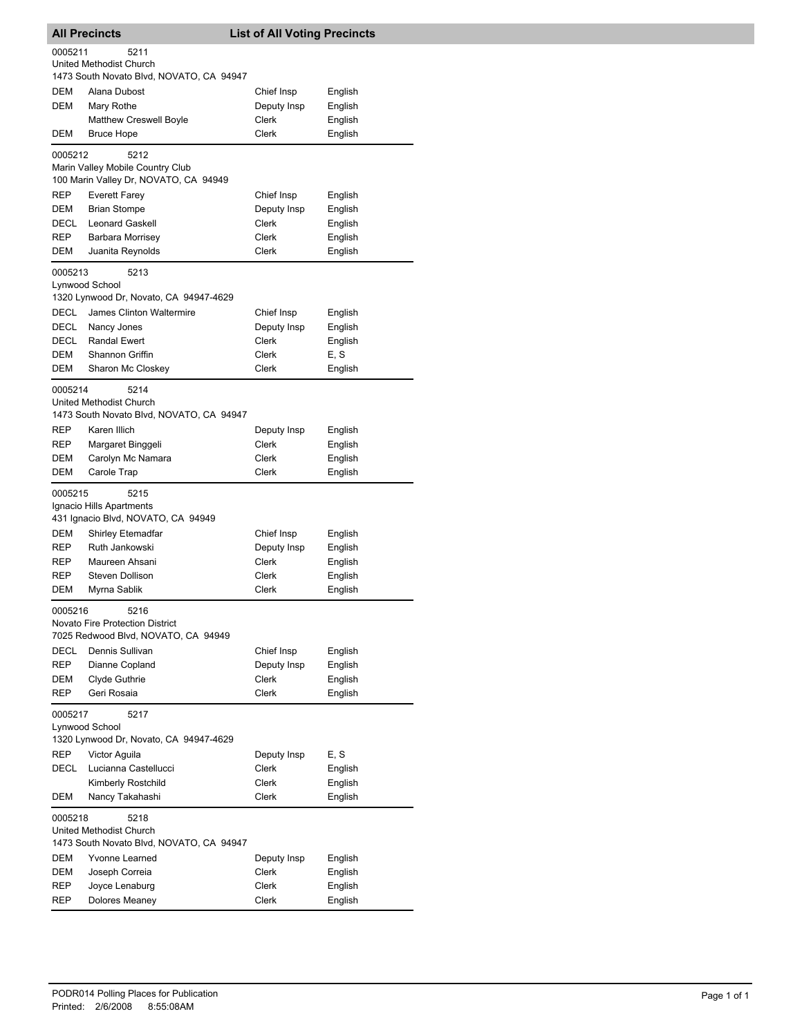| <b>All Precincts</b>                                                        |                                                                                       | <b>List of All Voting Precincts</b> |                               |
|-----------------------------------------------------------------------------|---------------------------------------------------------------------------------------|-------------------------------------|-------------------------------|
| 0005211                                                                     | 5211<br>United Methodist Church<br>1473 South Novato Blvd, NOVATO, CA 94947           |                                     |                               |
| DEM<br><b>DEM</b>                                                           | Alana Dubost<br>Mary Rothe<br><b>Matthew Creswell Boyle</b>                           | Chief Insp<br>Deputy Insp<br>Clerk  | English<br>English<br>English |
| DEM                                                                         | <b>Bruce Hope</b>                                                                     | <b>Clerk</b>                        | English                       |
| 0005212                                                                     | 5212<br>Marin Valley Mobile Country Club<br>100 Marin Valley Dr, NOVATO, CA 94949     |                                     |                               |
| <b>REP</b>                                                                  | <b>Everett Farey</b>                                                                  | Chief Insp                          | English                       |
| DEM                                                                         | <b>Brian Stompe</b>                                                                   | Deputy Insp                         | English                       |
| DECL                                                                        | <b>Leonard Gaskell</b>                                                                | Clerk                               | English                       |
| <b>REP</b>                                                                  | Barbara Morrisey                                                                      | Clerk                               | English                       |
| DEM                                                                         | Juanita Reynolds                                                                      | Clerk                               | English                       |
| 0005213                                                                     | 5213<br>Lynwood School<br>1320 Lynwood Dr, Novato, CA 94947-4629                      |                                     |                               |
| <b>DECL</b>                                                                 | James Clinton Waltermire                                                              | Chief Insp                          | English                       |
| DECL                                                                        | Nancy Jones                                                                           | Deputy Insp                         | English                       |
| DECL                                                                        | <b>Randal Ewert</b>                                                                   | Clerk                               | English                       |
| DEM                                                                         | Shannon Griffin                                                                       | Clerk                               | E, S                          |
| <b>DEM</b>                                                                  | Sharon Mc Closkey                                                                     | Clerk                               | English                       |
| 0005214                                                                     | 5214<br>United Methodist Church<br>1473 South Novato Blvd, NOVATO, CA 94947           |                                     |                               |
| <b>REP</b>                                                                  | Karen Illich                                                                          | Deputy Insp                         | English                       |
| REP                                                                         | Margaret Binggeli                                                                     | Clerk                               | English                       |
| DEM                                                                         | Carolyn Mc Namara                                                                     | Clerk                               | English                       |
| DEM                                                                         | Carole Trap                                                                           | Clerk                               | English                       |
| 0005215                                                                     | 5215<br>Ignacio Hills Apartments<br>431 Ignacio Blvd, NOVATO, CA 94949                |                                     |                               |
| <b>DEM</b>                                                                  | <b>Shirley Etemadfar</b>                                                              | Chief Insp                          | English                       |
| <b>REP</b>                                                                  | Ruth Jankowski                                                                        | Deputy Insp                         | English                       |
| <b>REP</b>                                                                  | Maureen Ahsani                                                                        | Clerk                               | English                       |
| REP                                                                         | Steven Dollison                                                                       | Clerk                               | English                       |
| DEM                                                                         | Myrna Sablik                                                                          | Clerk                               | English                       |
| 0005216                                                                     | 5216<br><b>Novato Fire Protection District</b><br>7025 Redwood Blvd, NOVATO, CA 94949 |                                     |                               |
| <b>DECL</b>                                                                 | Dennis Sullivan                                                                       | Chief Insp                          | English                       |
| <b>REP</b>                                                                  | Dianne Copland                                                                        | Deputy Insp                         | English                       |
| <b>DEM</b>                                                                  | Clyde Guthrie                                                                         | Clerk                               | English                       |
| <b>REP</b>                                                                  | Geri Rosaia                                                                           | Clerk                               | English                       |
| 0005217<br>5217<br>Lynwood School<br>1320 Lynwood Dr, Novato, CA 94947-4629 |                                                                                       |                                     |                               |
| <b>REP</b>                                                                  | Victor Aguila                                                                         | Deputy Insp                         | E, S                          |
| DECL                                                                        | Lucianna Castellucci                                                                  | Clerk                               | English                       |
|                                                                             | Kimberly Rostchild                                                                    | Clerk                               | English                       |
| DEM                                                                         | Nancy Takahashi                                                                       | Clerk                               | English                       |
| 0005218                                                                     | 5218<br>United Methodist Church<br>1473 South Novato Blvd, NOVATO, CA 94947           |                                     |                               |
| DEM                                                                         | Yvonne Learned                                                                        | Deputy Insp                         | English                       |
| DEM                                                                         | Joseph Correia                                                                        | Clerk                               | English                       |
| REP                                                                         | Joyce Lenaburg                                                                        | Clerk                               | English                       |
| REP                                                                         | Dolores Meaney                                                                        | Clerk                               | English                       |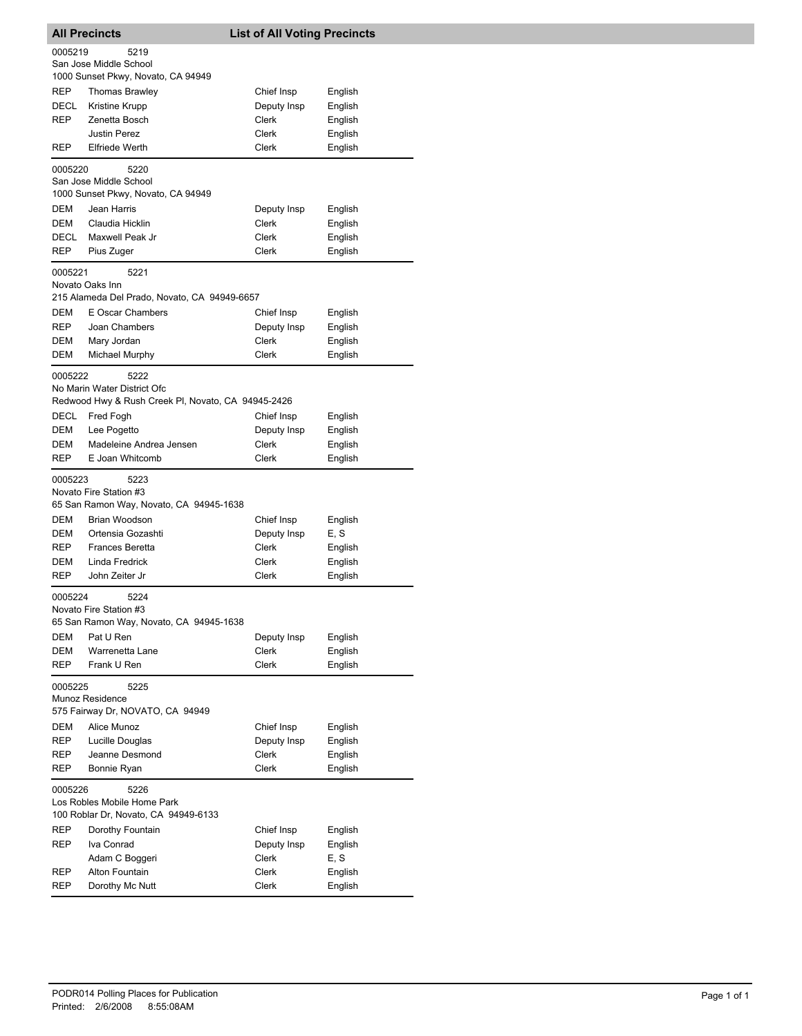| <b>All Precincts</b>      |                                                                                           | <b>List of All Voting Precincts</b>         |                                          |
|---------------------------|-------------------------------------------------------------------------------------------|---------------------------------------------|------------------------------------------|
| 0005219                   | 5219<br>San Jose Middle School<br>1000 Sunset Pkwy, Novato, CA 94949                      |                                             |                                          |
| REP<br>DECL<br>REP        | <b>Thomas Brawley</b><br>Kristine Krupp<br>Zenetta Bosch<br><b>Justin Perez</b>           | Chief Insp<br>Deputy Insp<br>Clerk<br>Clerk | English<br>English<br>English<br>English |
| REP                       | <b>Elfriede Werth</b>                                                                     | Clerk                                       | English                                  |
| 0005220                   | 5220<br>San Jose Middle School<br>1000 Sunset Pkwy, Novato, CA 94949                      |                                             |                                          |
| DEM<br>DEM<br><b>DECL</b> | Jean Harris<br>Claudia Hicklin<br>Maxwell Peak Jr                                         | Deputy Insp<br>Clerk<br>Clerk               | English<br>English<br>English            |
| REP                       | Pius Zuger                                                                                | Clerk                                       | English                                  |
| 0005221                   | 5221<br>Novato Oaks Inn<br>215 Alameda Del Prado, Novato, CA 94949-6657                   |                                             |                                          |
| DEM                       | E Oscar Chambers                                                                          | Chief Insp                                  | English                                  |
| REP<br>DEM                | Joan Chambers<br>Mary Jordan                                                              | Deputy Insp<br>Clerk                        | English<br>English                       |
| DEM                       | <b>Michael Murphy</b>                                                                     | Clerk                                       | English                                  |
| 0005222                   | 5222<br>No Marin Water District Ofc<br>Redwood Hwy & Rush Creek PI, Novato, CA 94945-2426 |                                             |                                          |
| DECL                      | Fred Fogh                                                                                 | Chief Insp                                  | English                                  |
| DEM                       | Lee Pogetto                                                                               | Deputy Insp                                 | English                                  |
| DEM                       | Madeleine Andrea Jensen                                                                   | Clerk                                       | English                                  |
| REP                       | E Joan Whitcomb                                                                           | Clerk                                       | English                                  |
| 0005223                   | 5223<br>Novato Fire Station #3<br>65 San Ramon Way, Novato, CA 94945-1638                 |                                             |                                          |
| DEM                       | Brian Woodson                                                                             | Chief Insp                                  | English                                  |
| DEM                       | Ortensia Gozashti                                                                         | Deputy Insp                                 | E, S                                     |
| <b>REP</b>                | <b>Frances Beretta</b>                                                                    | Clerk                                       | English                                  |
| DEM<br>REP                | Linda Fredrick<br>John Zeiter Jr                                                          | Clerk<br>Clerk                              | English<br>English                       |
| 0005224                   | 5224                                                                                      |                                             |                                          |
|                           | Novato Fire Station #3<br>65 San Ramon Way, Novato, CA 94945-1638                         |                                             |                                          |
| DEM                       | Pat U Ren                                                                                 | Deputy Insp                                 | English                                  |
| DEM<br>REP                | Warrenetta Lane<br>Frank U Ren                                                            | Clerk<br>Clerk                              | English<br>English                       |
| 0005225                   | 5225<br>Munoz Residence<br>575 Fairway Dr, NOVATO, CA 94949                               |                                             |                                          |
| DEM                       | Alice Munoz                                                                               | Chief Insp                                  | English                                  |
| REP                       | Lucille Douglas                                                                           | Deputy Insp                                 | English                                  |
| REP                       | Jeanne Desmond                                                                            | Clerk                                       | English                                  |
| REP                       | Bonnie Ryan                                                                               | Clerk                                       | English                                  |
| 0005226                   | 5226<br>Los Robles Mobile Home Park<br>100 Roblar Dr, Novato, CA 94949-6133               |                                             |                                          |
| REP                       | Dorothy Fountain                                                                          | Chief Insp                                  | English                                  |
| REP                       | Iva Conrad                                                                                | Deputy Insp                                 | English                                  |
|                           | Adam C Boggeri                                                                            | Clerk                                       | E, S                                     |
| <b>REP</b><br>REP         | Alton Fountain<br>Dorothy Mc Nutt                                                         | Clerk<br>Clerk                              | English<br>English                       |
|                           |                                                                                           |                                             |                                          |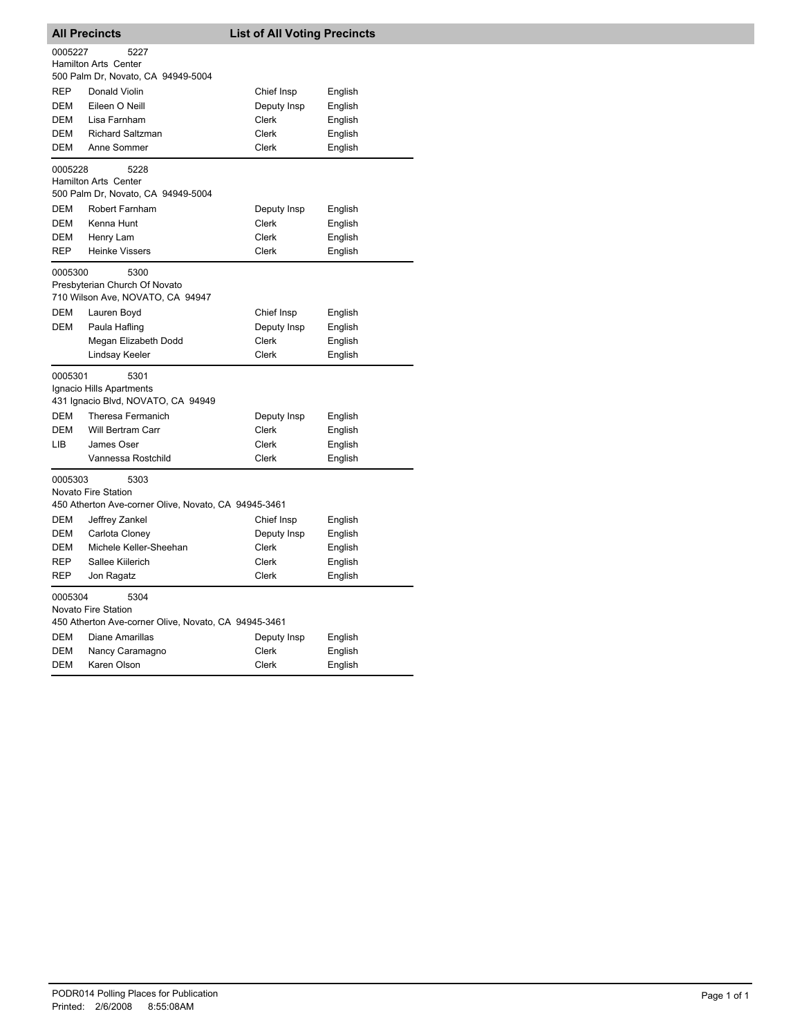| <b>All Precincts</b>                                                                           |                                                                           | <b>List of All Voting Precincts</b> |         |  |  |
|------------------------------------------------------------------------------------------------|---------------------------------------------------------------------------|-------------------------------------|---------|--|--|
| 0005227<br>5227<br><b>Hamilton Arts Center</b><br>500 Palm Dr, Novato, CA 94949-5004           |                                                                           |                                     |         |  |  |
| <b>REP</b>                                                                                     | Donald Violin                                                             | Chief Insp                          | English |  |  |
| DEM                                                                                            | Eileen O Neill                                                            | Deputy Insp                         | English |  |  |
| DEM                                                                                            | Lisa Farnham                                                              | Clerk                               | English |  |  |
| DEM                                                                                            | <b>Richard Saltzman</b>                                                   | Clerk                               | English |  |  |
| <b>DEM</b>                                                                                     | Anne Sommer                                                               | Clerk                               | English |  |  |
| 0005228                                                                                        | 5228<br>Hamilton Arts Center<br>500 Palm Dr, Novato, CA 94949-5004        |                                     |         |  |  |
| DEM                                                                                            | Robert Farnham                                                            | Deputy Insp                         | English |  |  |
| DEM                                                                                            | Kenna Hunt                                                                | Clerk                               | English |  |  |
| DEM                                                                                            | Henry Lam                                                                 | Clerk                               | English |  |  |
| <b>REP</b>                                                                                     | <b>Heinke Vissers</b>                                                     | Clerk                               | English |  |  |
| 0005300                                                                                        | 5300<br>Presbyterian Church Of Novato<br>710 Wilson Ave, NOVATO, CA 94947 |                                     |         |  |  |
| DEM                                                                                            | Lauren Boyd                                                               | Chief Insp                          | English |  |  |
| DEM                                                                                            | Paula Hafling                                                             | Deputy Insp                         | English |  |  |
|                                                                                                | Megan Elizabeth Dodd                                                      | Clerk                               | English |  |  |
|                                                                                                | Lindsay Keeler                                                            | Clerk                               | English |  |  |
| 0005301                                                                                        | 5301<br>Ignacio Hills Apartments<br>431 Ignacio Blvd, NOVATO, CA 94949    |                                     |         |  |  |
| DEM                                                                                            | Theresa Fermanich                                                         | Deputy Insp                         | English |  |  |
| <b>DEM</b>                                                                                     | <b>Will Bertram Carr</b>                                                  | Clerk                               | English |  |  |
| LІВ                                                                                            | James Oser                                                                | Clerk                               | English |  |  |
|                                                                                                | Vannessa Rostchild                                                        | Clerk                               | English |  |  |
| 0005303<br>5303<br>Novato Fire Station<br>450 Atherton Ave-corner Olive, Novato, CA 94945-3461 |                                                                           |                                     |         |  |  |
| DEM                                                                                            | Jeffrey Zankel                                                            | Chief Insp                          | English |  |  |
| <b>DEM</b>                                                                                     | Carlota Cloney                                                            | Deputy Insp                         | English |  |  |
| DEM                                                                                            | Michele Keller-Sheehan                                                    | Clerk                               | English |  |  |
| <b>REP</b>                                                                                     | Sallee Kiilerich                                                          | Clerk                               | English |  |  |
| REP                                                                                            | Jon Ragatz                                                                | Clerk                               | English |  |  |
| 5304<br>0005304<br>Novato Fire Station<br>450 Atherton Ave-corner Olive, Novato, CA 94945-3461 |                                                                           |                                     |         |  |  |
| DEM                                                                                            | Diane Amarillas                                                           | Deputy Insp                         | English |  |  |
| DEM                                                                                            | Nancy Caramagno                                                           | Clerk                               | English |  |  |
| <b>DEM</b>                                                                                     | Karen Olson                                                               | Clerk                               | English |  |  |